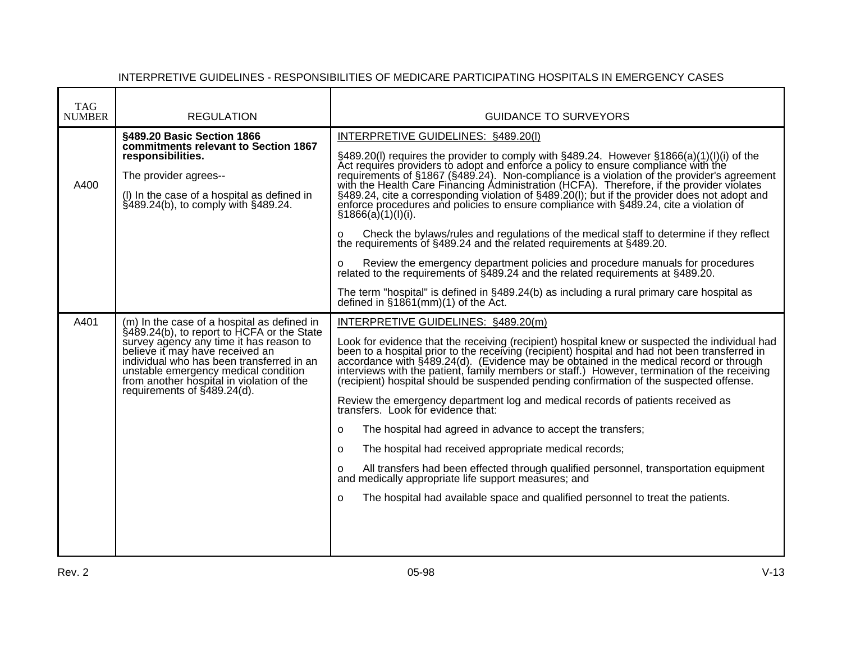| <b>TAG</b><br><b>NUMBER</b> | <b>REGULATION</b>                                                                                                                                                                                                                                                                                                                        | <b>GUIDANCE TO SURVEYORS</b>                                                                                                                                                                                                                                                                                                                                                                                                                                                                                                                                                                                                                                                                                                                                                                                                                                                                                                                                                                                                                                                                                              |
|-----------------------------|------------------------------------------------------------------------------------------------------------------------------------------------------------------------------------------------------------------------------------------------------------------------------------------------------------------------------------------|---------------------------------------------------------------------------------------------------------------------------------------------------------------------------------------------------------------------------------------------------------------------------------------------------------------------------------------------------------------------------------------------------------------------------------------------------------------------------------------------------------------------------------------------------------------------------------------------------------------------------------------------------------------------------------------------------------------------------------------------------------------------------------------------------------------------------------------------------------------------------------------------------------------------------------------------------------------------------------------------------------------------------------------------------------------------------------------------------------------------------|
| A400                        | §489.20 Basic Section 1866<br>commitments relevant to Section 1867<br>responsibilities.<br>The provider agrees--<br>(I) In the case of a hospital as defined in<br>$\frac{1}{2}489.24(b)$ , to comply with $\frac{1}{2}489.24$ .                                                                                                         | INTERPRETIVE GUIDELINES: §489.20(I)<br>§489.20(I) requires the provider to comply with §489.24. However §1866(a)(1)(I)(i) of the<br>Act requires providers to adopt and enforce a policy to ensure compliance with the<br>requirements of §1867 (§489.24). Non-compliance is a violation of the provider's agreement<br>with the Health Care Financing Administration (HCFA). Therefore, if the provider violates<br>§489.24, cite a corresponding violation of §489.20(l); but if the provider does not adopt and enforce procedures and policies to ensure compliance with §489.24, cite a violation of<br>§1866(a)(1)(I)(i).<br>Check the bylaws/rules and regulations of the medical staff to determine if they reflect<br>O<br>the requirements of §489.24 and the related requirements at §489.20.<br>Review the emergency department policies and procedure manuals for procedures<br>O<br>related to the requirements of §489.24 and the related requirements at §489.20.<br>The term "hospital" is defined in §489.24(b) as including a rural primary care hospital as<br>defined in $$1861$ (mm)(1) of the Act. |
| A401                        | (m) In the case of a hospital as defined in<br>§489.24(b), to report to HCFA or the State<br>survey agency any time it has reason to<br>believe it may have received an<br>individual who has been transferred in an<br>unstable emergency medical condition<br>from another hospital in violation of the<br>requirements of §489.24(d). | INTERPRETIVE GUIDELINES: §489.20(m)<br>Look for evidence that the receiving (recipient) hospital knew or suspected the individual had<br>been to a hospital prior to the receiving (recipient) hospital and had not been transferred in<br>accordance with §489.24(d). (Evidence may be obtained in the medical record or through<br>interviews with the patient, family members or staff.) However, termination of the receiving<br>(recipient) hospital should be suspended pending confirmation of the suspected offense.<br>Review the emergency department log and medical records of patients received as<br>transfers. Look for evidence that:<br>The hospital had agreed in advance to accept the transfers;<br>$\circ$<br>The hospital had received appropriate medical records;<br>$\Omega$<br>All transfers had been effected through qualified personnel, transportation equipment<br>O<br>and medically appropriate life support measures; and<br>The hospital had available space and qualified personnel to treat the patients.<br>$\Omega$                                                                |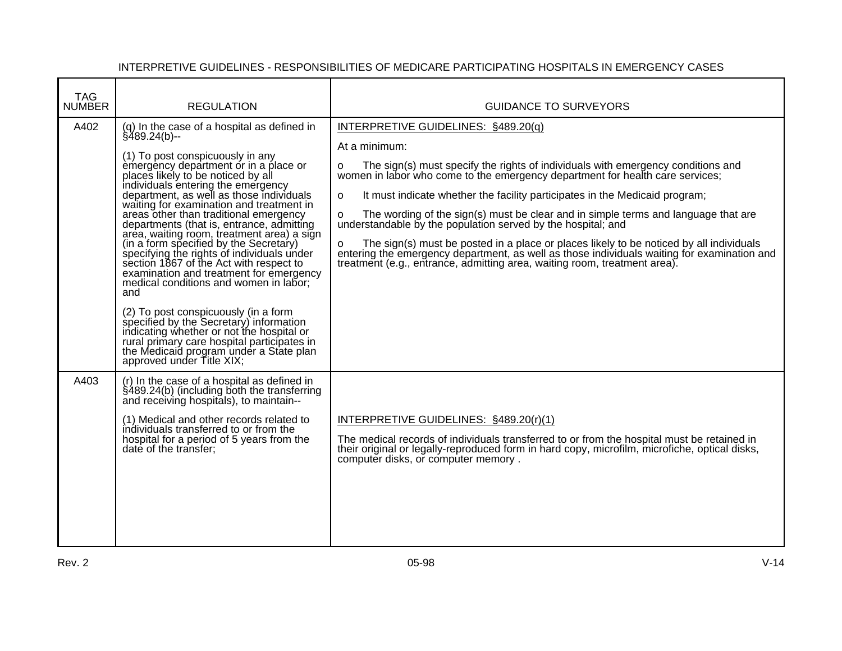| <b>TAG</b><br><b>NUMBER</b> | <b>REGULATION</b>                                                                                                                                                                                                                                                                                                                                                                                                                                                                                                                                                                                                                                                                                                                                                                                                                                                                                                                          | <b>GUIDANCE TO SURVEYORS</b>                                                                                                                                                                                                                                                                                                                                                                                                                                                                                                                                                                                                                                                                                                                                                      |
|-----------------------------|--------------------------------------------------------------------------------------------------------------------------------------------------------------------------------------------------------------------------------------------------------------------------------------------------------------------------------------------------------------------------------------------------------------------------------------------------------------------------------------------------------------------------------------------------------------------------------------------------------------------------------------------------------------------------------------------------------------------------------------------------------------------------------------------------------------------------------------------------------------------------------------------------------------------------------------------|-----------------------------------------------------------------------------------------------------------------------------------------------------------------------------------------------------------------------------------------------------------------------------------------------------------------------------------------------------------------------------------------------------------------------------------------------------------------------------------------------------------------------------------------------------------------------------------------------------------------------------------------------------------------------------------------------------------------------------------------------------------------------------------|
| A402                        | (q) In the case of a hospital as defined in<br>$§$ 489.24(b)--<br>(1) To post conspicuously in any<br>emergency department or in a place or<br>places likely to be noticed by all<br>individuals entering the emergency<br>department, as well as those individuals<br>waiting for examination and treatment in<br>areas other than traditional emergency<br>departments (that is, entrance, admitting<br>area, waiting room, treatment area) a sign<br>(in a form specified by the Secretary)<br>specifying the rights of individuals under<br>section 1867 of the Act with respect to<br>examination and treatment for emergency<br>medical conditions and women in labor;<br>and<br>(2) To post conspicuously (in a form<br>specified by the Secretary) information<br>indicating whether or not the hospital or<br>rural primary care hospital participates in<br>the Medicaid program under a State plan<br>approved under Title XIX; | INTERPRETIVE GUIDELINES: §489.20(q)<br>At a minimum:<br>The sign(s) must specify the rights of individuals with emergency conditions and<br>$\Omega$<br>women in labor who come to the emergency department for health care services;<br>It must indicate whether the facility participates in the Medicaid program;<br>o<br>The wording of the sign(s) must be clear and in simple terms and language that are<br>$\mathsf{o}$<br>understandable by the population served by the hospital; and<br>The sign(s) must be posted in a place or places likely to be noticed by all individuals<br>$\circ$<br>entering the emergency department, as well as those individuals waiting for examination and<br>treatment (e.g., entrance, admitting area, waiting room, treatment area). |
| A403                        | (r) In the case of a hospital as defined in<br>§489.24(b) (including both the transferring<br>and receiving hospitals), to maintain--<br>(1) Medical and other records related to<br>individuals transferred to or from the<br>hospital for a period of 5 years from the<br>date of the transfer;                                                                                                                                                                                                                                                                                                                                                                                                                                                                                                                                                                                                                                          | INTERPRETIVE GUIDELINES: §489.20(r)(1)<br>The medical records of individuals transferred to or from the hospital must be retained in<br>their original or legally-reproduced form in hard copy, microfilm, microfiche, optical disks,<br>computer disks, or computer memory.                                                                                                                                                                                                                                                                                                                                                                                                                                                                                                      |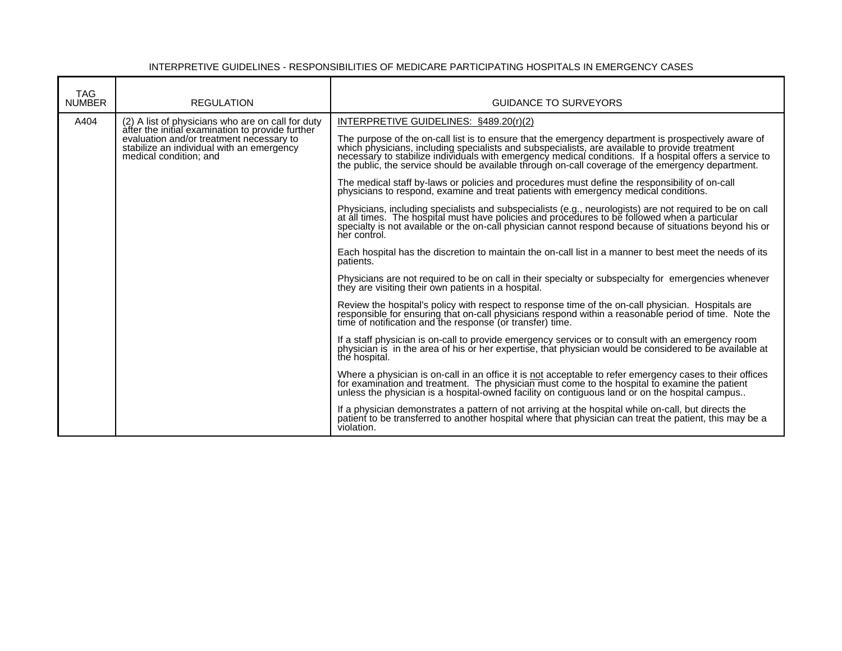| <b>TAG</b><br><b>NUMBER</b> | <b>REGULATION</b>                                                                                                                                                   | <b>GUIDANCE TO SURVEYORS</b>                                                                                                                                                                                                                                                                                |
|-----------------------------|---------------------------------------------------------------------------------------------------------------------------------------------------------------------|-------------------------------------------------------------------------------------------------------------------------------------------------------------------------------------------------------------------------------------------------------------------------------------------------------------|
| A404                        | (2) A list of physicians who are on call for duty                                                                                                                   | INTERPRETIVE GUIDELINES: §489.20(r)(2)                                                                                                                                                                                                                                                                      |
|                             | after the initial examination to provide further<br>evaluation and/or treatment necessary to<br>stabilize an individual with an emergency<br>medical condition: and | The purpose of the on-call list is to ensure that the emergency department is prospectively aware of which physicians, including specialists and subspecialists, are available to provide treatment necessary to stabilize ind                                                                              |
|                             |                                                                                                                                                                     | The medical staff by-laws or policies and procedures must define the responsibility of on-call physicians to respond, examine and treat patients with emergency medical conditions.                                                                                                                         |
|                             |                                                                                                                                                                     | Physicians, including specialists and subspecialists (e.g., neurologists) are not required to be on call at all times. The hospital must have policies and procedures to be followed when a particular specialty is not availa<br>her control.                                                              |
|                             |                                                                                                                                                                     | Each hospital has the discretion to maintain the on-call list in a manner to best meet the needs of its<br>patients.                                                                                                                                                                                        |
|                             |                                                                                                                                                                     | Physicians are not required to be on call in their specialty or subspecialty for emergencies whenever<br>they are visiting their own patients in a hospital.                                                                                                                                                |
|                             |                                                                                                                                                                     | Review the hospital's policy with respect to response time of the on-call physician. Hospitals are<br>responsible for ensuring that on-call physicians respond within a reasonable period of time. Note the time of notification and the response (or transfer) time.                                       |
|                             |                                                                                                                                                                     | If a staff physician is on-call to provide emergency services or to consult with an emergency room<br>physician is in the area of his or her expertise, that physician would be considered to be available at<br>the hospital.                                                                              |
|                             |                                                                                                                                                                     | Where a physician is on-call in an office it is not acceptable to refer emergency cases to their offices<br>for examination and treatment. The physician must come to the hospital to examine the patient<br>unless the physician is a hospital-owned facility on contiguous land or on the hospital campus |
|                             |                                                                                                                                                                     | If a physician demonstrates a pattern of not arriving at the hospital while on-call, but directs the patient to be transferred to another hospital where that physician can treat the patient, this may be a<br>violation.                                                                                  |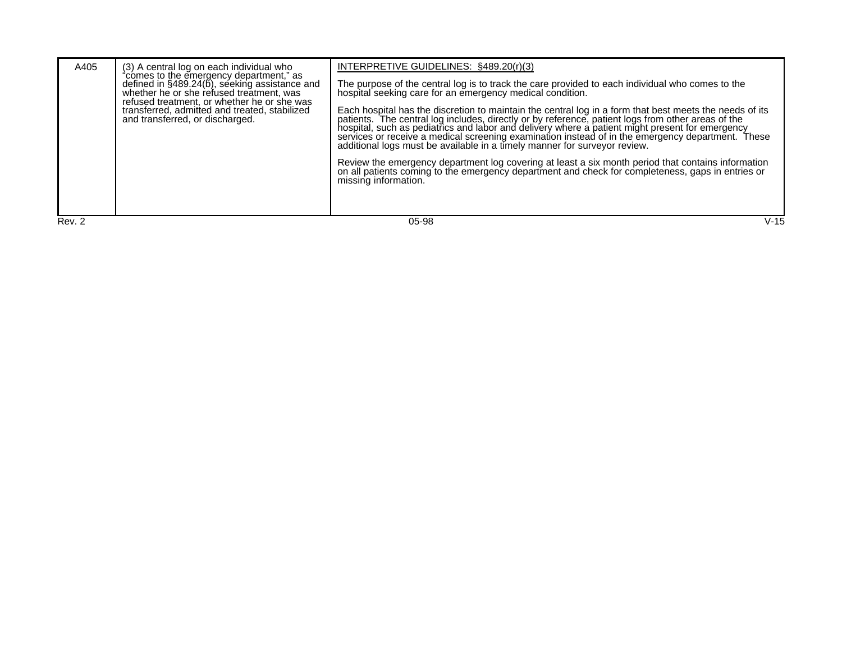| A405   | (3) A central log on each individual who<br>"comes to the emergency department," as<br>defined in $\S$ 489.24( $\S$ ), seeking assistance and<br>whether he or she refused treatment, was<br>refused treatment, or whether he or she was<br>transferred, admitted and treated, stabilized<br>and transferred, or discharged. | INTERPRETIVE GUIDELINES: §489.20(r)(3)<br>The purpose of the central log is to track the care provided to each individual who comes to the hospital seeking care for an emergency medical condition.<br>Each hospital has the discretion to maintain the central log in a form that best meets the needs of its<br>patients. The central log includes, directly or by reference, patient logs from other areas of the<br>hospital, such as pediatrics and labor and delivery where a patient might present for emergency<br>services or receive a medical screening examination instead of in the emergency department. These<br>additional logs must be available in a timely manner for surveyor review. |
|--------|------------------------------------------------------------------------------------------------------------------------------------------------------------------------------------------------------------------------------------------------------------------------------------------------------------------------------|------------------------------------------------------------------------------------------------------------------------------------------------------------------------------------------------------------------------------------------------------------------------------------------------------------------------------------------------------------------------------------------------------------------------------------------------------------------------------------------------------------------------------------------------------------------------------------------------------------------------------------------------------------------------------------------------------------|
|        |                                                                                                                                                                                                                                                                                                                              | Review the emergency department log covering at least a six month period that contains information<br>on all patients coming to the emergency department and check for completeness, gaps in entries or<br>missing information.                                                                                                                                                                                                                                                                                                                                                                                                                                                                            |
| Rev. 2 |                                                                                                                                                                                                                                                                                                                              | V-15<br>05-98                                                                                                                                                                                                                                                                                                                                                                                                                                                                                                                                                                                                                                                                                              |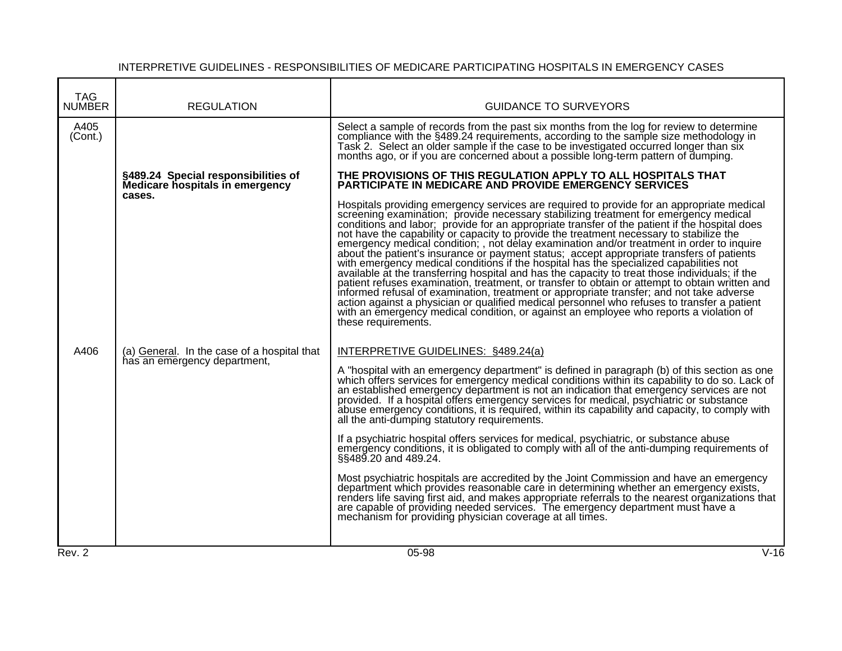| <b>TAG</b><br><b>NUMBER</b> | <b>REGULATION</b>                                                           | <b>GUIDANCE TO SURVEYORS</b>                                                                                                                                                                                                                                                                                                                                                                                                                                                                                                                                                                                                                                                                                                                                                                                                                                                                                                                                                                                                                                                                                                                                                      |        |
|-----------------------------|-----------------------------------------------------------------------------|-----------------------------------------------------------------------------------------------------------------------------------------------------------------------------------------------------------------------------------------------------------------------------------------------------------------------------------------------------------------------------------------------------------------------------------------------------------------------------------------------------------------------------------------------------------------------------------------------------------------------------------------------------------------------------------------------------------------------------------------------------------------------------------------------------------------------------------------------------------------------------------------------------------------------------------------------------------------------------------------------------------------------------------------------------------------------------------------------------------------------------------------------------------------------------------|--------|
| A405<br>(Cont.)             |                                                                             | Select a sample of records from the past six months from the log for review to determine<br>compliance with the §489.24 requirements, according to the sample size methodology in<br>Task 2. Select an older sample if the case to be investigated occurred longer than six<br>months ago, or if you are concerned about a possible long-term pattern of dumping.                                                                                                                                                                                                                                                                                                                                                                                                                                                                                                                                                                                                                                                                                                                                                                                                                 |        |
|                             | §489.24 Special responsibilities of<br>Medicare hospitals in emergency      | THE PROVISIONS OF THIS REGULATION APPLY TO ALL HOSPITALS THAT<br><b>PARTICIPATE IN MEDICARE AND PROVIDE EMERGENCY SERVICES</b>                                                                                                                                                                                                                                                                                                                                                                                                                                                                                                                                                                                                                                                                                                                                                                                                                                                                                                                                                                                                                                                    |        |
|                             | cases.                                                                      | Hospitals providing emergency services are required to provide for an appropriate medical<br>screening examination; provide necessary stabilizing treatment for emergency medical<br>conditions and labor; provide for an appropriate transfer of the patient if the hospital does<br>not have the capability or capacity to provide the treatment necessary to stabilize the<br>emergency medical condition; , not delay examination and/or treatment in order to inquire<br>about the patient's insurance or payment status; accept appropriate transfers of patients<br>with emergency medical conditions if the hospital has the specialized capabilities not<br>available at the transferring hospital and has the capacity to treat those individuals; if the<br>patient refuses examination, treatment, or transfer to obtain or attempt to obtain written and<br>informed refusal of examination, treatment or appropriate transfer; and not take adverse<br>action against a physician or qualified medical personnel who refuses to transfer a patient<br>with an emergency medical condition, or against an employee who reports a violation of<br>these requirements. |        |
| A406                        | (a) General. In the case of a hospital that<br>has an emergency department, | INTERPRETIVE GUIDELINES: §489.24(a)<br>A "hospital with an emergency department" is defined in paragraph (b) of this section as one<br>which offers services for emergency medical conditions within its capability to do so. Lack of<br>an established emergency department is not an indication that emergency services are not<br>provided. If a hospital offers emergency services for medical, psychiatric or substance<br>abuse emergency conditions, it is required, within its capability and capacity, to comply with<br>all the anti-dumping statutory requirements.<br>If a psychiatric hospital offers services for medical, psychiatric, or substance abuse                                                                                                                                                                                                                                                                                                                                                                                                                                                                                                          |        |
|                             |                                                                             | emergency conditions, it is obligated to comply with all of the anti-dumping requirements of<br>§§489.20 and 489.24.<br>Most psychiatric hospitals are accredited by the Joint Commission and have an emergency<br>department which provides reasonable care in determining whether an emergency exists,<br>renders life saving first aid, and makes appropriate referrals to the nearest organizations that<br>are capable of providing needed services. The emergency department must have a<br>mechanism for providing physician coverage at all times.                                                                                                                                                                                                                                                                                                                                                                                                                                                                                                                                                                                                                        |        |
| Rev. 2                      |                                                                             | $05-98$                                                                                                                                                                                                                                                                                                                                                                                                                                                                                                                                                                                                                                                                                                                                                                                                                                                                                                                                                                                                                                                                                                                                                                           | $V-16$ |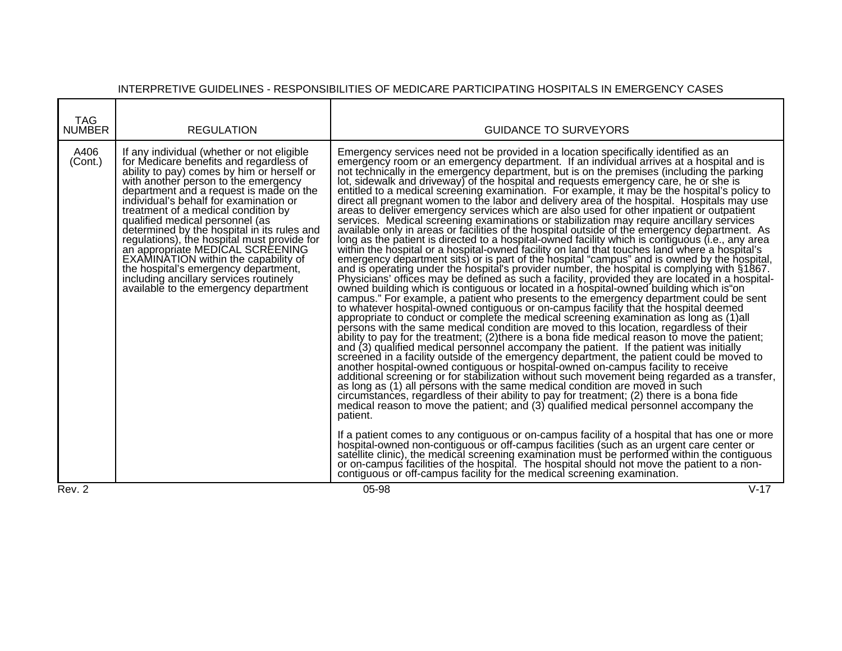| TAG<br><b>NUMBER</b> | <b>REGULATION</b>                                                                                                                                                                                                                                                                                                                                                                                                                                                                                                                                                                                                                               | <b>GUIDANCE TO SURVEYORS</b>                                                                                                                                                                                                                                                                                                                                                                                                                                                                                                                                                                                                                                                                                                                                                                                                                                                                                                                                                                                                                                                                                                                                                                                                                                                                                                                                                                                                                                                                                                                                                                                                                                                                                                                                                                                                                                                                                                                                                                                                                                                                                                                                                                                                                                                                                                                                                                                                                                                                                                                                                                                                                                                                                                                                                                                                                                                                                                                                                                                                                                                      |
|----------------------|-------------------------------------------------------------------------------------------------------------------------------------------------------------------------------------------------------------------------------------------------------------------------------------------------------------------------------------------------------------------------------------------------------------------------------------------------------------------------------------------------------------------------------------------------------------------------------------------------------------------------------------------------|-----------------------------------------------------------------------------------------------------------------------------------------------------------------------------------------------------------------------------------------------------------------------------------------------------------------------------------------------------------------------------------------------------------------------------------------------------------------------------------------------------------------------------------------------------------------------------------------------------------------------------------------------------------------------------------------------------------------------------------------------------------------------------------------------------------------------------------------------------------------------------------------------------------------------------------------------------------------------------------------------------------------------------------------------------------------------------------------------------------------------------------------------------------------------------------------------------------------------------------------------------------------------------------------------------------------------------------------------------------------------------------------------------------------------------------------------------------------------------------------------------------------------------------------------------------------------------------------------------------------------------------------------------------------------------------------------------------------------------------------------------------------------------------------------------------------------------------------------------------------------------------------------------------------------------------------------------------------------------------------------------------------------------------------------------------------------------------------------------------------------------------------------------------------------------------------------------------------------------------------------------------------------------------------------------------------------------------------------------------------------------------------------------------------------------------------------------------------------------------------------------------------------------------------------------------------------------------------------------------------------------------------------------------------------------------------------------------------------------------------------------------------------------------------------------------------------------------------------------------------------------------------------------------------------------------------------------------------------------------------------------------------------------------------------------------------------------------|
| A406<br>(Cont.)      | If any individual (whether or not eligible<br>for Medicare benefits and regardless of<br>ability to pay) comes by him or herself or<br>with another person to the emergency<br>department and a request is made on the<br>individual's behalf for examination or<br>treatment of a medical condition by<br>qualified medical personnel (as<br>determined by the hospital in its rules and<br>regulations), the hospital must provide for<br>an appropriate MEDICAL SCREENING<br>EXAMINATION within the capability of<br>the hospital's emergency department,<br>including ancillary services routinely<br>available to the emergency department | Emergency services need not be provided in a location specifically identified as an<br>emergency room or an emergency department. If an individual arrives at a hospital and is<br>not technically in the emergency department, but is on the premises (including the parking<br>lot, sidewalk and driveway) of the hospital and requests emergency care, he or she is<br>entitled to a medical screening examination. For example, it may be the hospital's policy to<br>direct all pregnant women to the labor and delivery area of the hospital. Hospitals may use<br>areas to deliver emergency services which are also used for other inpatient or outpatient<br>services. Medical screening examinations or stabilization may require ancillary services<br>available only in areas or facilities of the hospital outside of the emergency department. As<br>long as the patient is directed to a hospital-owned facility which is contiguous (i.e., any area<br>within the hospital or a hospital-owned facility on land that touches land where a hospital's<br>emergency department sits) or is part of the hospital "campus" and is owned by the hospital,<br>and is operating under the hospital's provider number, the hospital is complying with §1867.<br>Physicians' offices may be defined as such a facility, provided they are located in a hospital-<br>owned building which is contiguous or located in a hospital-owned building which is on<br>campus." For example, a patient who presents to the emergency department could be sent<br>to whatever hospital-owned contiguous or on-campus facility that the hospital deemed<br>appropriate to conduct or complete the medical screening examination as long as (1)all<br>persons with the same medical condition are moved to this location, regardless of their<br>ability to pay for the treatment; (2)there is a bona fide medical reason to move the patient;<br>and (3) qualified medical personnel accompany the patient. If the patient was initially<br>screened in a facility outside of the emergency department, the patient could be moved to<br>another hospital-owned contiguous or hospital-owned on-campus facility to receive<br>additional screening or for stabilization without such movement being regarded as a transfer,<br>as long as (1) all persons with the same medical condition are moved in such<br>circumstances, regardless of their ability to pay for treatment; (2) there is a bona fide<br>medical reason to move the patient; and (3) qualified medical personnel accompany the<br>patient.<br>If a patient comes to any contiguous or on-campus facility of a hospital that has one or more<br>hospital-owned non-contiguous or off-campus facilities (such as an urgent care center or<br>satellite clinic), the medical screening examination must be performed within the contiguous<br>or on-campus facilities of the hospital. The hospital should not move the patient to a non-<br>contiguous or off-campus facility for the medical screening examination. |
| Rev. 2               |                                                                                                                                                                                                                                                                                                                                                                                                                                                                                                                                                                                                                                                 | $V-17$<br>05-98                                                                                                                                                                                                                                                                                                                                                                                                                                                                                                                                                                                                                                                                                                                                                                                                                                                                                                                                                                                                                                                                                                                                                                                                                                                                                                                                                                                                                                                                                                                                                                                                                                                                                                                                                                                                                                                                                                                                                                                                                                                                                                                                                                                                                                                                                                                                                                                                                                                                                                                                                                                                                                                                                                                                                                                                                                                                                                                                                                                                                                                                   |

**T**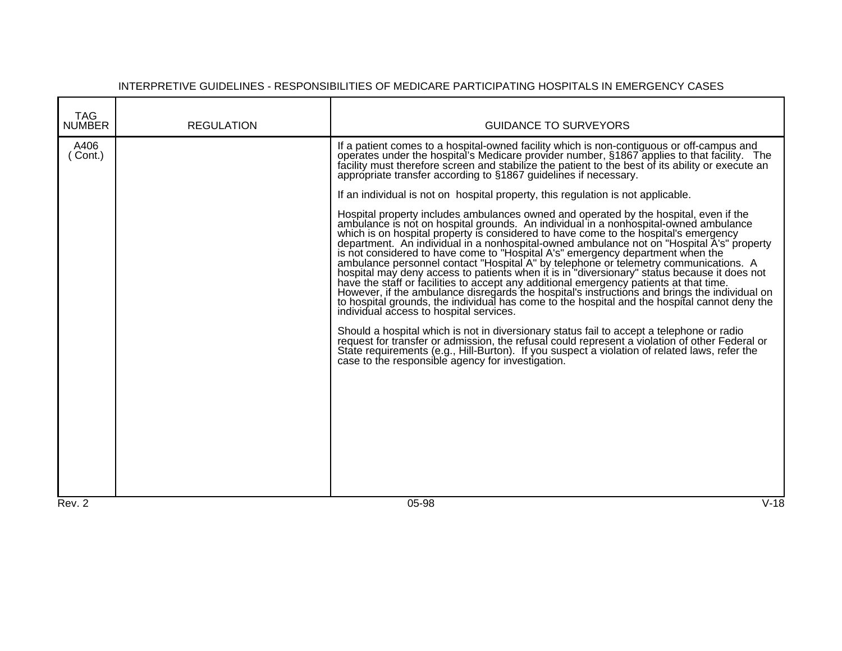| <b>TAG</b><br><b>NUMBER</b> | <b>REGULATION</b> | <b>GUIDANCE TO SURVEYORS</b>                                                                                                                                                                                                                                                                                                                                                                                                                                                                                                                                                                                                                                                                                                                                                                                                                                                                                                                                                                                                                                                                                                                                                                                                                                                                                                                                                                                                                                                                                                                                                                                                                                                                                                                                               |
|-----------------------------|-------------------|----------------------------------------------------------------------------------------------------------------------------------------------------------------------------------------------------------------------------------------------------------------------------------------------------------------------------------------------------------------------------------------------------------------------------------------------------------------------------------------------------------------------------------------------------------------------------------------------------------------------------------------------------------------------------------------------------------------------------------------------------------------------------------------------------------------------------------------------------------------------------------------------------------------------------------------------------------------------------------------------------------------------------------------------------------------------------------------------------------------------------------------------------------------------------------------------------------------------------------------------------------------------------------------------------------------------------------------------------------------------------------------------------------------------------------------------------------------------------------------------------------------------------------------------------------------------------------------------------------------------------------------------------------------------------------------------------------------------------------------------------------------------------|
| A406<br>Cont.)<br>Rev. 2    |                   | If a patient comes to a hospital-owned facility which is non-contiguous or off-campus and<br>operates under the hospital's Medicare provider number, §1867 applies to that facility. The<br>facility must therefore screen and stabilize the patient to the best of its ability or execute an<br>appropriate transfer according to §1867 guidelines if necessary.<br>If an individual is not on hospital property, this regulation is not applicable.<br>Hospital property includes ambulances owned and operated by the hospital, even if the ambulance is not on hospital grounds. An individual in a nonhospital-owned ambulance which is on hospital property is considered to have<br>department. An individual in a nonhospital-owned ambulance not on "Hospital A's" property<br>is not considered to have come to "Hospital A's" emergency department when the<br>ambulance personnel contact "Hospital A" by telephone or telemetry communications. A hospital may deny access to patients when it is in "diversionary" status because it does not<br>have the staff or facilities to accept any additional emergency patients at that time.<br>However, if the ambulance disregards the hospital's instructions and brings the individual on<br>to hospital grounds, the individual has come to the hospital and the hospital cannot deny the<br>individual access to hospital services.<br>Should a hospital which is not in diversionary status fail to accept a telephone or radio<br>request for transfer or admission, the refusal could represent a violation of other Federal or<br>State requirements (e.g., Hill-Burton). If you suspect a violation of related laws, refer the<br>case to the responsible agency for investigation.<br>$V-18$<br>05-98 |
|                             |                   |                                                                                                                                                                                                                                                                                                                                                                                                                                                                                                                                                                                                                                                                                                                                                                                                                                                                                                                                                                                                                                                                                                                                                                                                                                                                                                                                                                                                                                                                                                                                                                                                                                                                                                                                                                            |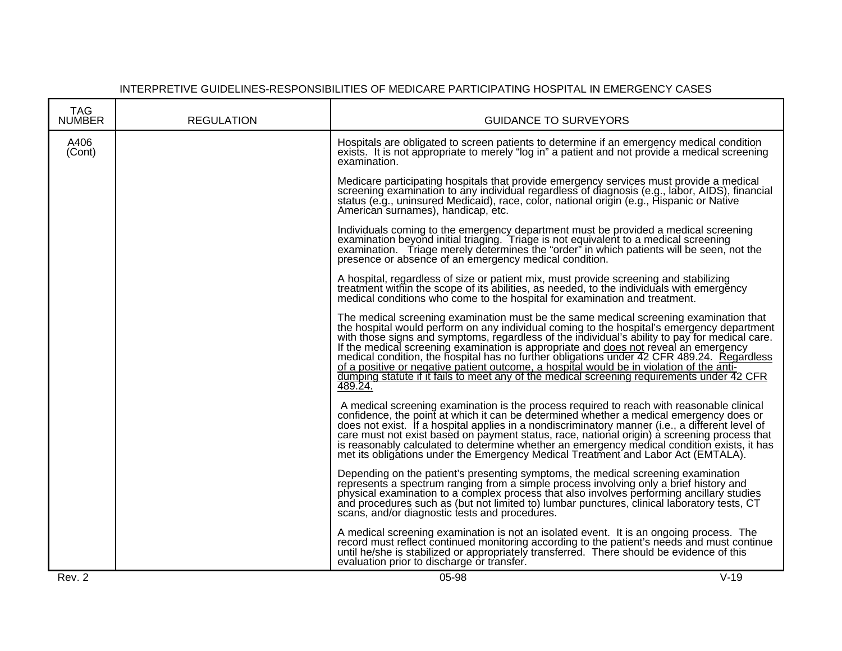#### TAG<br>NUMBER REGULATION **NUMBER REGULATION GUIDANCE TO SURVEYORS** A406 (Cont) Hospitals are obligated to screen patients to determine if an emergency medical condition exists. It is not appropriate to merely "log in" a patient and not provide a medical screening examination. Medicare participating hospitals that provide emergency services must provide a medical screening examination to any individual regardless of diagnosis (e.g., labor, AIDS), financial status (e.g., uninsured Medicaid), race, color, national origin (e.g., Hispanic or Native American surnames), handicap, etc. Individuals coming to the emergency department must be provided a medical screening examination beyond initial triaging. Triage is not equivalent to a medical screening examination. Triage merely determines the "order" in which patients will be seen, not the presence or absence of an emergency medical condition. A hospital, regardless of size or patient mix, must provide screening and stabilizing treatment within the scope of its abilities, as needed, to the individuals with emergency medical conditions who come to the hospital for examination and treatment. The medical screening examination must be the same medical screening examination that the hospital would perform on any individual coming to the hospital's emergency department with those signs and symptoms, regardless of the individual's ability to pay for medical care. If the medical screening examination is appropriate and does not reveal an emergency medical condition, the hospital has no further obligations under 42 CFR 489.24. Regardless of a positive or negative patient outcome, a hospital would be in violation of the antidumping statute if it fails to meet any of the medical screening requirements under 42 CFR 489.24. A medical screening examination is the process required to reach with reasonable clinical confidence, the point at which it can be determined whether a medical emergency does or does not exist. If a hospital applies in a nondiscriminatory manner (i.e., a different level of care must not exist based on payment status, race, national origin) a screening process that is reasonably calculated to determine whether an emergency medical condition exists, it has met its obligations under the Emergency Medical Treatment and Labor Act (EMTALA). Depending on the patient's presenting symptoms, the medical screening examination represents a spectrum ranging from a simple process involving only a brief history and physical examination to a complex process that also involves performing ancillary studies and procedures such as (but not limited to) lumbar punctures, clinical laboratory tests, CT scans, and/or diagnostic tests and procedures. A medical screening examination is not an isolated event. It is an ongoing process. The record must reflect continued monitoring according to the patient's needs and must continue until he/she is stabilized or appropriately transferred. There should be evidence of this evaluation prior to discharge or transfer.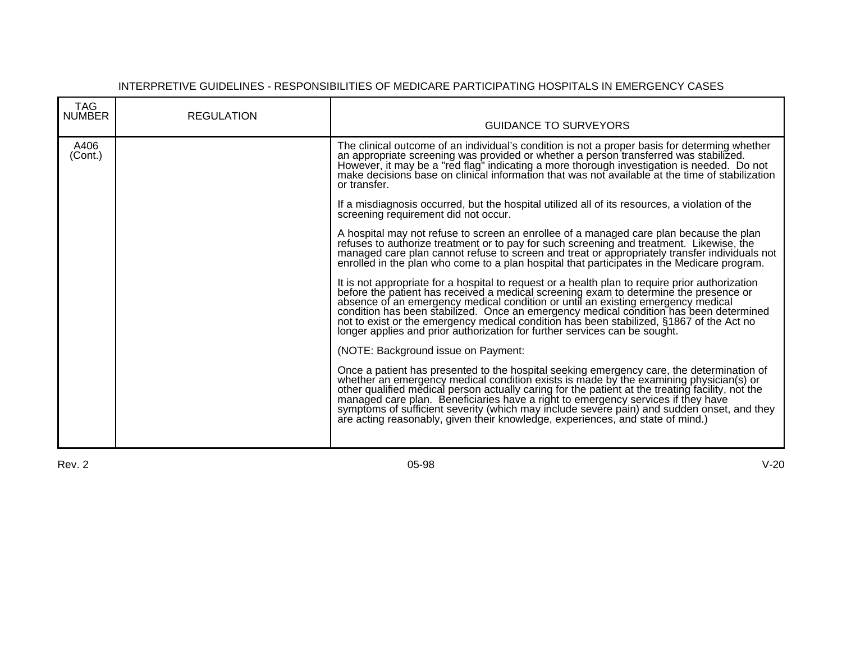| <b>TAG</b><br><b>NUMBER</b> | <b>REGULATION</b> | <b>GUIDANCE TO SURVEYORS</b>                                                                                                                                                                                                                                                                                                                                                                                                                                                                                                                     |
|-----------------------------|-------------------|--------------------------------------------------------------------------------------------------------------------------------------------------------------------------------------------------------------------------------------------------------------------------------------------------------------------------------------------------------------------------------------------------------------------------------------------------------------------------------------------------------------------------------------------------|
| A406<br>(Cont.)             |                   | The clinical outcome of an individual's condition is not a proper basis for determing whether<br>an appropriate screening was provided or whether a person transferred was stabilized.<br>However, it may be a "red flag" indicating a more thorough investigation is needed. Do not<br>make decisions base on clinical information that was not available at the time of stabilization<br>or transfer.                                                                                                                                          |
|                             |                   | If a misdiagnosis occurred, but the hospital utilized all of its resources, a violation of the<br>screening requirement did not occur.                                                                                                                                                                                                                                                                                                                                                                                                           |
|                             |                   | A hospital may not refuse to screen an enrollee of a managed care plan because the plan<br>refuses to authorize treatment or to pay for such screening and treatment. Likewise, the managed care plan cannot refuse to screen and treat or appropriately transfer individuals not enrolled in the plan who come to a plan                                                                                                                                                                                                                        |
|                             |                   | It is not appropriate for a hospital to request or a health plan to require prior authorization<br>before the patient has received a medical screening exam to determine the presence or<br>absence of an emergency medical condition or until an existing emergency medical<br>condition has been stabilized. Once an emergency medical condition has been determined<br>not to exist or the emergency medical condition has been stabilized, §1867 of the Act no<br>longer applies and prior authorization for further services can be sought. |
|                             |                   | (NOTE: Background issue on Payment:                                                                                                                                                                                                                                                                                                                                                                                                                                                                                                              |
|                             |                   | Once a patient has presented to the hospital seeking emergency care, the determination of whether an emergency medical condition exists is made by the examining physician(s) or other qualified medical person actually carin<br>are acting reasonably, given their knowledge, experiences, and state of mind.)                                                                                                                                                                                                                                 |

Rev. 2 05-98 V-20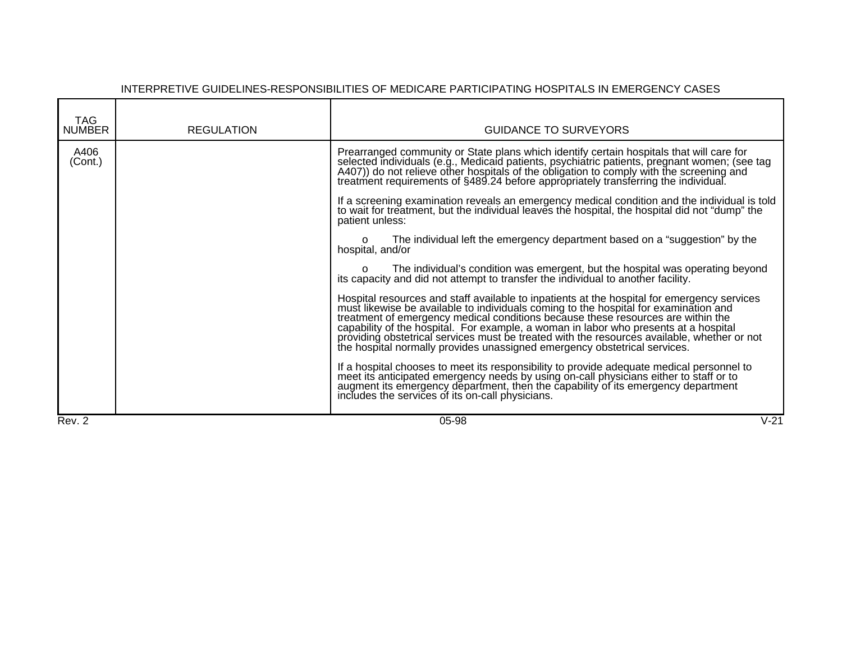| <b>TAG</b><br><b>NUMBER</b> | <b>REGULATION</b> | <b>GUIDANCE TO SURVEYORS</b>                                                                                                                                                                                                                                                                                                                                                                                                                                                                       |
|-----------------------------|-------------------|----------------------------------------------------------------------------------------------------------------------------------------------------------------------------------------------------------------------------------------------------------------------------------------------------------------------------------------------------------------------------------------------------------------------------------------------------------------------------------------------------|
| A406<br>(Cont.)             |                   | Prearranged community or State plans which identify certain hospitals that will care for<br>selected individuals (e.g., Medicald patients, psychiatric patients, pregnant women; (see tag<br>A407)) do not relieve other hospitals of the obligation to comply with the screening and<br>treatment requirements of §489.24 befor                                                                                                                                                                   |
|                             |                   | If a screening examination reveals an emergency medical condition and the individual is told<br>to wait for treatment, but the individual leaves the hospital, the hospital did not "dump" the<br>patient unless:                                                                                                                                                                                                                                                                                  |
|                             |                   | The individual left the emergency department based on a "suggestion" by the<br>O<br>hospital, and/or                                                                                                                                                                                                                                                                                                                                                                                               |
|                             |                   | o The individual's condition was emergent, but the hospital was operating beyond its capacity and did not attempt to transfer the individual to another facility.                                                                                                                                                                                                                                                                                                                                  |
|                             |                   | Hospital resources and staff available to inpatients at the hospital for emergency services must likewise be available to individuals coming to the hospital for examination and treatment of emergency medical conditions bec<br>capability of the hospital. For example, a woman in labor who presents at a hospital<br>providing obstetrical services must be treated with the resources available, whether or not<br>the hospital normally provides unassigned emergency obstetrical services. |
|                             |                   | If a hospital chooses to meet its responsibility to provide adequate medical personnel to meet its anticipated emergency needs by using on-call physicians either to staff or to augment its emergency department, then the ca<br>includes the services of its on-call physicians.                                                                                                                                                                                                                 |
| Rev. 2                      |                   | $V-21$<br>05-98                                                                                                                                                                                                                                                                                                                                                                                                                                                                                    |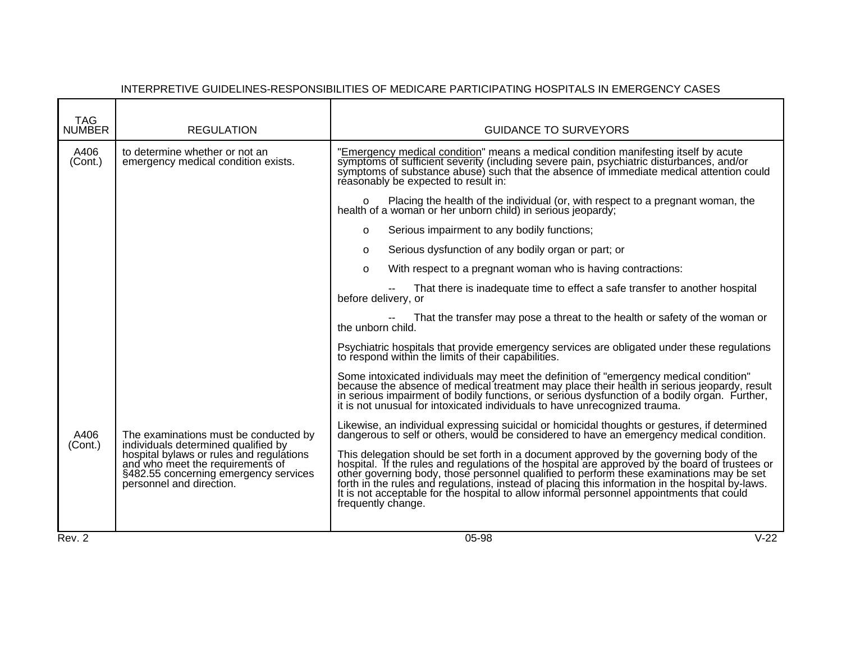| A406<br>to determine whether or not an<br>"Emergency medical condition" means a medical condition manifesting itself by acute<br>symptoms of sufficient severity (including severe pain, psychiatric disturbances, and/or symptoms of substance abuse) such that the absence of immediate medical attention could<br>(Cont.)<br>emergency medical condition exists.<br>réasonably be expected to result in:<br>o Placing the health of the individual (or, with respect to a pregnant woman, the health of a woman or her unborn child) in serious jeopardy;<br>Serious impairment to any bodily functions;<br>$\Omega$<br>Serious dysfunction of any bodily organ or part; or<br>$\Omega$<br>With respect to a pregnant woman who is having contractions:<br>$\Omega$<br>That there is inadequate time to effect a safe transfer to another hospital<br>before delivery, or<br>That the transfer may pose a threat to the health or safety of the woman or<br>the unborn child.<br>Psychiatric hospitals that provide emergency services are obligated under these regulations<br>to respond within the limits of their capabilities.<br>Some intoxicated individuals may meet the definition of "emergency medical condition"<br>because the absence of medical treatment may place their health in serious jeopardy, result<br>in serious impairment of bodily functions, or serious dysfunction of a bodily organ. Further,<br>it is not unusual for intoxicated in<br>Likewise, an individual expressing suicidal or homicidal thoughts or gestures, if determined dangerous to self or others, would be considered to have an emergency medical condition.<br>The examinations must be conducted by<br>A406<br>individuals determined qualified by<br>hospital bylaws or rules and regulations<br>(Cont.)<br>This delegation should be set forth in a document approved by the governing body of the hospital. If the rules and regulations of the hospital are approved by the board of trustees or other governing body, those personnel<br>and who meet the requirements of<br>§482.55 concerning emergency services<br>personnel and direction.<br>frequently change. | <b>TAG</b><br><b>NUMBER</b> | <b>REGULATION</b> | <b>GUIDANCE TO SURVEYORS</b> |  |
|---------------------------------------------------------------------------------------------------------------------------------------------------------------------------------------------------------------------------------------------------------------------------------------------------------------------------------------------------------------------------------------------------------------------------------------------------------------------------------------------------------------------------------------------------------------------------------------------------------------------------------------------------------------------------------------------------------------------------------------------------------------------------------------------------------------------------------------------------------------------------------------------------------------------------------------------------------------------------------------------------------------------------------------------------------------------------------------------------------------------------------------------------------------------------------------------------------------------------------------------------------------------------------------------------------------------------------------------------------------------------------------------------------------------------------------------------------------------------------------------------------------------------------------------------------------------------------------------------------------------------------------------------------------------------------------------------------------------------------------------------------------------------------------------------------------------------------------------------------------------------------------------------------------------------------------------------------------------------------------------------------------------------------------------------------------------------------------------------------------------------------------------------------------------------------|-----------------------------|-------------------|------------------------------|--|
|                                                                                                                                                                                                                                                                                                                                                                                                                                                                                                                                                                                                                                                                                                                                                                                                                                                                                                                                                                                                                                                                                                                                                                                                                                                                                                                                                                                                                                                                                                                                                                                                                                                                                                                                                                                                                                                                                                                                                                                                                                                                                                                                                                                 |                             |                   |                              |  |
|                                                                                                                                                                                                                                                                                                                                                                                                                                                                                                                                                                                                                                                                                                                                                                                                                                                                                                                                                                                                                                                                                                                                                                                                                                                                                                                                                                                                                                                                                                                                                                                                                                                                                                                                                                                                                                                                                                                                                                                                                                                                                                                                                                                 |                             |                   |                              |  |
|                                                                                                                                                                                                                                                                                                                                                                                                                                                                                                                                                                                                                                                                                                                                                                                                                                                                                                                                                                                                                                                                                                                                                                                                                                                                                                                                                                                                                                                                                                                                                                                                                                                                                                                                                                                                                                                                                                                                                                                                                                                                                                                                                                                 |                             |                   |                              |  |
|                                                                                                                                                                                                                                                                                                                                                                                                                                                                                                                                                                                                                                                                                                                                                                                                                                                                                                                                                                                                                                                                                                                                                                                                                                                                                                                                                                                                                                                                                                                                                                                                                                                                                                                                                                                                                                                                                                                                                                                                                                                                                                                                                                                 |                             |                   |                              |  |
|                                                                                                                                                                                                                                                                                                                                                                                                                                                                                                                                                                                                                                                                                                                                                                                                                                                                                                                                                                                                                                                                                                                                                                                                                                                                                                                                                                                                                                                                                                                                                                                                                                                                                                                                                                                                                                                                                                                                                                                                                                                                                                                                                                                 |                             |                   |                              |  |
|                                                                                                                                                                                                                                                                                                                                                                                                                                                                                                                                                                                                                                                                                                                                                                                                                                                                                                                                                                                                                                                                                                                                                                                                                                                                                                                                                                                                                                                                                                                                                                                                                                                                                                                                                                                                                                                                                                                                                                                                                                                                                                                                                                                 |                             |                   |                              |  |
|                                                                                                                                                                                                                                                                                                                                                                                                                                                                                                                                                                                                                                                                                                                                                                                                                                                                                                                                                                                                                                                                                                                                                                                                                                                                                                                                                                                                                                                                                                                                                                                                                                                                                                                                                                                                                                                                                                                                                                                                                                                                                                                                                                                 |                             |                   |                              |  |
|                                                                                                                                                                                                                                                                                                                                                                                                                                                                                                                                                                                                                                                                                                                                                                                                                                                                                                                                                                                                                                                                                                                                                                                                                                                                                                                                                                                                                                                                                                                                                                                                                                                                                                                                                                                                                                                                                                                                                                                                                                                                                                                                                                                 |                             |                   |                              |  |
|                                                                                                                                                                                                                                                                                                                                                                                                                                                                                                                                                                                                                                                                                                                                                                                                                                                                                                                                                                                                                                                                                                                                                                                                                                                                                                                                                                                                                                                                                                                                                                                                                                                                                                                                                                                                                                                                                                                                                                                                                                                                                                                                                                                 |                             |                   |                              |  |
|                                                                                                                                                                                                                                                                                                                                                                                                                                                                                                                                                                                                                                                                                                                                                                                                                                                                                                                                                                                                                                                                                                                                                                                                                                                                                                                                                                                                                                                                                                                                                                                                                                                                                                                                                                                                                                                                                                                                                                                                                                                                                                                                                                                 |                             |                   |                              |  |
|                                                                                                                                                                                                                                                                                                                                                                                                                                                                                                                                                                                                                                                                                                                                                                                                                                                                                                                                                                                                                                                                                                                                                                                                                                                                                                                                                                                                                                                                                                                                                                                                                                                                                                                                                                                                                                                                                                                                                                                                                                                                                                                                                                                 |                             |                   |                              |  |
| $V-22$<br>Rev. 2<br>05-98                                                                                                                                                                                                                                                                                                                                                                                                                                                                                                                                                                                                                                                                                                                                                                                                                                                                                                                                                                                                                                                                                                                                                                                                                                                                                                                                                                                                                                                                                                                                                                                                                                                                                                                                                                                                                                                                                                                                                                                                                                                                                                                                                       |                             |                   |                              |  |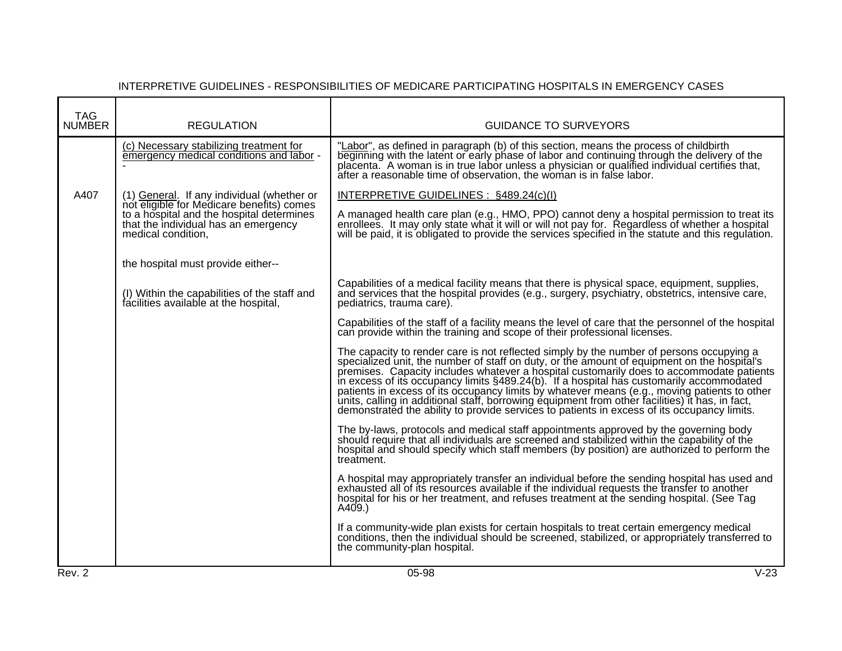| <b>TAG</b><br><b>NUMBER</b> | <b>REGULATION</b>                                                                                       | <b>GUIDANCE TO SURVEYORS</b>                                                                                                                                                                                                                                                                                                                                                                                                                                                                                                                                                                                                                                                   |
|-----------------------------|---------------------------------------------------------------------------------------------------------|--------------------------------------------------------------------------------------------------------------------------------------------------------------------------------------------------------------------------------------------------------------------------------------------------------------------------------------------------------------------------------------------------------------------------------------------------------------------------------------------------------------------------------------------------------------------------------------------------------------------------------------------------------------------------------|
|                             | (c) Necessary stabilizing treatment for<br>emergency medical conditions and labor -                     | "Labor", as defined in paragraph (b) of this section, means the process of childbirth<br>beginning with the latent or early phase of labor and continuing through the delivery of the<br>placenta. A woman is in true labor unless a physician or qualified individual certifies that,<br>after a reasonable time of observation, the woman is in false labor.                                                                                                                                                                                                                                                                                                                 |
| A407                        | (1) General. If any individual (whether or<br>not eligible for Medicare benefits) comes                 | INTERPRETIVE GUIDELINES : §489.24(c)(l)                                                                                                                                                                                                                                                                                                                                                                                                                                                                                                                                                                                                                                        |
|                             | to a hospital and the hospital determines<br>that the individual has an emergency<br>medical condition, | A managed health care plan (e.g., HMO, PPO) cannot deny a hospital permission to treat its<br>enrollees. It may only state what it will or will not pay for. Regardless of whether a hospital<br>will be paid, it is obligated to provide the services specified in the statute and this regulation.                                                                                                                                                                                                                                                                                                                                                                           |
|                             | the hospital must provide either--                                                                      |                                                                                                                                                                                                                                                                                                                                                                                                                                                                                                                                                                                                                                                                                |
|                             | (I) Within the capabilities of the staff and<br>facilities available at the hospital,                   | Capabilities of a medical facility means that there is physical space, equipment, supplies,<br>and services that the hospital provides (e.g., surgery, psychiatry, obstetrics, intensive care,<br>pediatrics, trauma care).                                                                                                                                                                                                                                                                                                                                                                                                                                                    |
|                             |                                                                                                         | Capabilities of the staff of a facility means the level of care that the personnel of the hospital<br>can provide within the training and scope of their professional licenses.                                                                                                                                                                                                                                                                                                                                                                                                                                                                                                |
|                             |                                                                                                         | The capacity to render care is not reflected simply by the number of persons occupying a specialized unit, the number of staff on duty, or the amount of equipment on the hospital's<br>premises. Capacity includes whatever a hospital customarily does to accommodate patients<br>in excess of its occupancy limits §489.24(b). If a hospital has customarily accommodated<br>patients in excess of its occupancy limits by whatever means (e.g., moving patients to other<br>units, calling in additional staff, borrowing equipment from other facilities) it has, in fact,<br>demonstrated the ability to provide services to patients in excess of its occupancy limits. |
|                             |                                                                                                         | The by-laws, protocols and medical staff appointments approved by the governing body<br>should require that all individuals are screened and stabilized within the capability of the<br>hospital and should specify which staff members (by position) are authorized to perform the<br>treatment.                                                                                                                                                                                                                                                                                                                                                                              |
|                             |                                                                                                         | A hospital may appropriately transfer an individual before the sending hospital has used and<br>exhausted all of its resources available if the individual requests the transfer to another<br>hospital for his or her treatment, and refuses treatment at the sending hospital. (See Tag<br>A409.)                                                                                                                                                                                                                                                                                                                                                                            |
|                             |                                                                                                         | If a community-wide plan exists for certain hospitals to treat certain emergency medical<br>conditions, then the individual should be screened, stabilized, or appropriately transferred to<br>the community-plan hospital.                                                                                                                                                                                                                                                                                                                                                                                                                                                    |
| Rev. 2                      |                                                                                                         | $05 - 98$<br>$V-23$                                                                                                                                                                                                                                                                                                                                                                                                                                                                                                                                                                                                                                                            |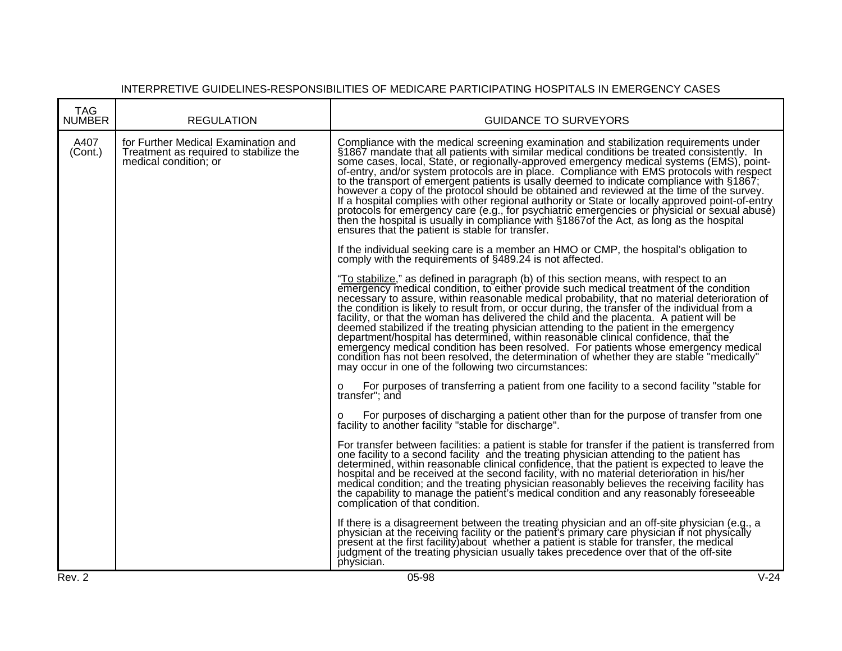| <b>TAG</b><br><b>NUMBER</b> | <b>REGULATION</b>                                                                                      | <b>GUIDANCE TO SURVEYORS</b>                                                                                                                                                                                                                                                                                                                                                                                                                                                                                                                                                                                                                                                                                                                                                                                                                                                                                                   |        |
|-----------------------------|--------------------------------------------------------------------------------------------------------|--------------------------------------------------------------------------------------------------------------------------------------------------------------------------------------------------------------------------------------------------------------------------------------------------------------------------------------------------------------------------------------------------------------------------------------------------------------------------------------------------------------------------------------------------------------------------------------------------------------------------------------------------------------------------------------------------------------------------------------------------------------------------------------------------------------------------------------------------------------------------------------------------------------------------------|--------|
| A407<br>(Cont.)             | for Further Medical Examination and<br>Treatment as required to stabilize the<br>medical condition; or | Compliance with the medical screening examination and stabilization requirements under<br>§1867 mandate that all patients with similar medical conditions be treated consistently. In<br>some cases, local, State, or regionally-approved emergency medical systems (EMS), point-<br>of-entry, and/or system protocols are in place. Compliance with EMS protocols with respect<br>to the fransport of emergent patients is usally deemed to indicate compliance with §1867;<br>however a copy of the protocol should be obtained and reviewed at the time of the survey.<br>If a hospital complies with other regional authority or State or locally approved point-of-entry<br>protocols for emergency care (e.g., for psychiatric emergencies or physicial or sexual abuse)<br>then the hospital is usually in compliance with §1867of the Act, as long as the hospital<br>ensures that the patient is stable for transfer. |        |
|                             |                                                                                                        | If the individual seeking care is a member an HMO or CMP, the hospital's obligation to<br>comply with the requirements of §489.24 is not affected.                                                                                                                                                                                                                                                                                                                                                                                                                                                                                                                                                                                                                                                                                                                                                                             |        |
|                             |                                                                                                        | "To stabilize," as defined in paragraph (b) of this section means, with respect to an<br>emergency medical condition, to either provide such medical treatment of the condition<br>necessary to assure, within reasonable medical probability, that no material deterioration of<br>the condition is likely to result from, or occur during, the transfer of the individual from a<br>facility, or that the woman has delivered the child and the placenta. A patient will be<br>deemed stabilized if the treating physician attending to the patient in the emergency<br>department/hospital has determined, within reasonable clinical confidence, that the<br>emergency medical condition has been resolved. For patients whose emergency medical<br>condition has not been resolved, the determination of whether they are stable "medically"<br>may occur in one of the following two circumstances:                      |        |
|                             |                                                                                                        | For purposes of transferring a patient from one facility to a second facility "stable for<br>O<br>transfer"; and                                                                                                                                                                                                                                                                                                                                                                                                                                                                                                                                                                                                                                                                                                                                                                                                               |        |
|                             |                                                                                                        | For purposes of discharging a patient other than for the purpose of transfer from one<br>O<br>facility to another facility "stable for discharge".                                                                                                                                                                                                                                                                                                                                                                                                                                                                                                                                                                                                                                                                                                                                                                             |        |
|                             |                                                                                                        | For transfer between facilities: a patient is stable for transfer if the patient is transferred from<br>one facility to a second facility and the treating physician attending to the patient has<br>determined, within reasonable clinical confidence, that the patient is expected to leave the<br>hospital and be received at the second facility, with no material deterioration in his/her<br>medical condition; and the treating physician reasonably believes the receiving facility has<br>the capability to manage the patient's medical condition and any reasonably foreseeable<br>complication of that condition.                                                                                                                                                                                                                                                                                                  |        |
|                             |                                                                                                        | If there is a disagreement between the treating physician and an off-site physician (e.g., a<br>physician at the receiving facility or the patient's primary care physician if not physically<br>present at the first facility) about whether a patient is stable for transfer, the medical<br>judgment of the treating physician usually takes precedence over that of the off-site<br>physician.                                                                                                                                                                                                                                                                                                                                                                                                                                                                                                                             |        |
| Rev. 2                      |                                                                                                        | 05-98                                                                                                                                                                                                                                                                                                                                                                                                                                                                                                                                                                                                                                                                                                                                                                                                                                                                                                                          | $V-24$ |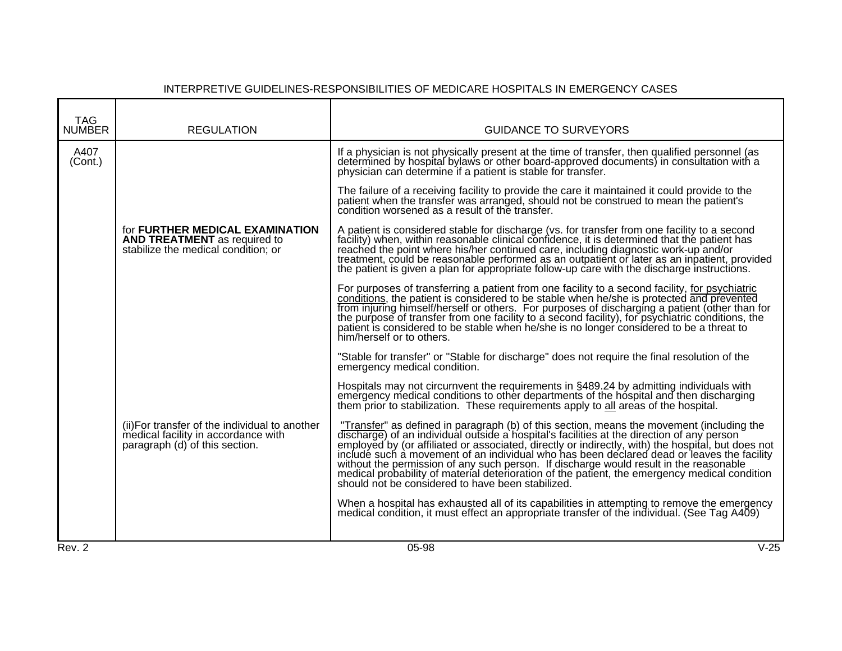| <b>TAG</b>      |                                                                                                                         |                                                                                                                                                                                                                                                                                                                                                                                                                                                                                                                                                                                                                                       |
|-----------------|-------------------------------------------------------------------------------------------------------------------------|---------------------------------------------------------------------------------------------------------------------------------------------------------------------------------------------------------------------------------------------------------------------------------------------------------------------------------------------------------------------------------------------------------------------------------------------------------------------------------------------------------------------------------------------------------------------------------------------------------------------------------------|
| <b>NUMBER</b>   | <b>REGULATION</b>                                                                                                       | <b>GUIDANCE TO SURVEYORS</b>                                                                                                                                                                                                                                                                                                                                                                                                                                                                                                                                                                                                          |
| A407<br>(Cont.) |                                                                                                                         | If a physician is not physically present at the time of transfer, then qualified personnel (as<br>determined by hospital bylaws or other board-approved documents) in consultation with a<br>physician can determine if a patient is stable for transfer.                                                                                                                                                                                                                                                                                                                                                                             |
|                 |                                                                                                                         | The failure of a receiving facility to provide the care it maintained it could provide to the<br>patient when the transfer was arranged, should not be construed to mean the patient's<br>condition worsened as a result of the transfer.                                                                                                                                                                                                                                                                                                                                                                                             |
|                 | for <b>FURTHER MEDICAL EXAMINATION</b><br><b>AND TREATMENT</b> as required to<br>stabilize the medical condition; or    | A patient is considered stable for discharge (vs. for transfer from one facility to a second<br>facility) when, within reasonable clinical confidence, it is determined that the patient has<br>reached the point where his/her continued care, including diagnostic work-up and/or<br>treatment, could be reasonable performed as an outpatient or later as an inpatient, provided<br>the patient is given a plan for appropriate follow-up care with the discharge instructions.                                                                                                                                                    |
|                 |                                                                                                                         | For purposes of transferring a patient from one facility to a second facility, for psychiatric conditions, the patient is considered to be stable when he/she is protected and prevented<br>from injuring himself/herself or others. For purposes of discharging a patient (other than for<br>the purpose of transfer from one facility to a second facility), for psychiatric conditions, the patient is considered to be stable when he/she is no longer considered to be a threat to<br>him/herself or to others.                                                                                                                  |
|                 |                                                                                                                         | "Stable for transfer" or "Stable for discharge" does not require the final resolution of the<br>emergency medical condition.                                                                                                                                                                                                                                                                                                                                                                                                                                                                                                          |
|                 |                                                                                                                         | Hospitals may not circurnvent the requirements in §489.24 by admitting individuals with<br>emergency medical conditions to other departments of the hospital and then discharging<br>them prior to stabilization. These requirements apply to all areas of the hospital.                                                                                                                                                                                                                                                                                                                                                              |
|                 | (ii) For transfer of the individual to another<br>medical facility in accordance with<br>paragraph (d) of this section. | "Transfer" as defined in paragraph (b) of this section, means the movement (including the discharge) of an individual outside a hospital's facilities at the direction of any person<br>employed by (or affiliated or associated, directly or indirectly, with) the hospital, but does not include such a movement of an individual who has been declared dead or leaves the facility<br>without the permission of any such person. If discharge would result in the reasonable<br>medical probability of material deterioration of the patient, the emergency medical condition<br>should not be considered to have been stabilized. |
|                 |                                                                                                                         | When a hospital has exhausted all of its capabilities in attempting to remove the emergency<br>medical condition, it must effect an appropriate transfer of the individual. (See Tag A409)                                                                                                                                                                                                                                                                                                                                                                                                                                            |
| Rev. 2          |                                                                                                                         | $V-25$<br>05-98                                                                                                                                                                                                                                                                                                                                                                                                                                                                                                                                                                                                                       |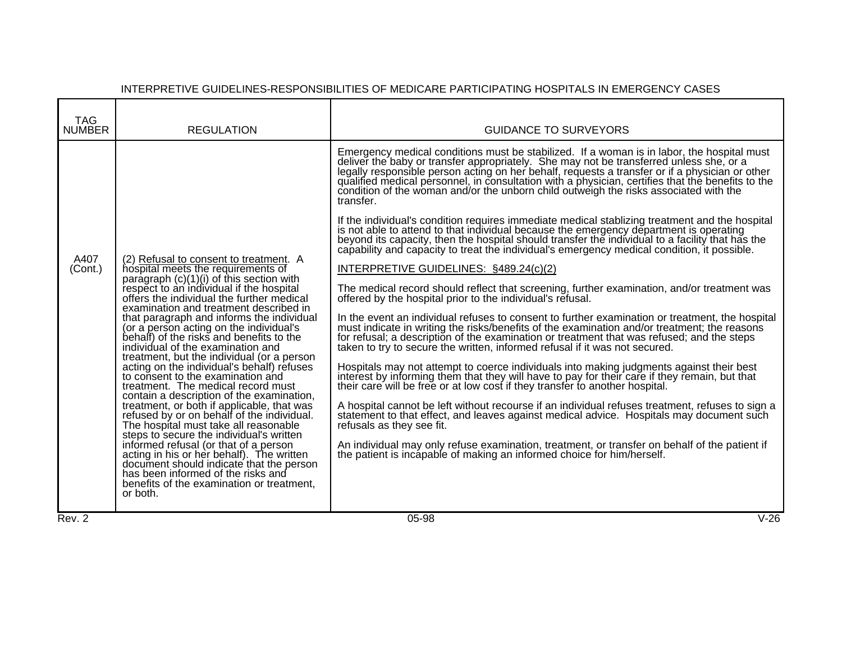| <b>TAG</b><br><b>NUMBER</b> | <b>REGULATION</b>                                                                                                                                                                                                                                                                                                                                                                                                                                                                                                                                                                                                                                                                                                                                                                                                                                                                                                                                                                                                                                                            | <b>GUIDANCE TO SURVEYORS</b>                                                                                                                                                                                                                                                                                                                                                                                                                                                                                                                                                                                                                                                                                                                                                                                                                                                                                                                                                                                                                                                                                                                                                                                                                                                                                                                                                                                                                                                                                                                                                                                                                                                                                                                                                                                                                                                                                                                                                                                                                                                                                                                                                 |
|-----------------------------|------------------------------------------------------------------------------------------------------------------------------------------------------------------------------------------------------------------------------------------------------------------------------------------------------------------------------------------------------------------------------------------------------------------------------------------------------------------------------------------------------------------------------------------------------------------------------------------------------------------------------------------------------------------------------------------------------------------------------------------------------------------------------------------------------------------------------------------------------------------------------------------------------------------------------------------------------------------------------------------------------------------------------------------------------------------------------|------------------------------------------------------------------------------------------------------------------------------------------------------------------------------------------------------------------------------------------------------------------------------------------------------------------------------------------------------------------------------------------------------------------------------------------------------------------------------------------------------------------------------------------------------------------------------------------------------------------------------------------------------------------------------------------------------------------------------------------------------------------------------------------------------------------------------------------------------------------------------------------------------------------------------------------------------------------------------------------------------------------------------------------------------------------------------------------------------------------------------------------------------------------------------------------------------------------------------------------------------------------------------------------------------------------------------------------------------------------------------------------------------------------------------------------------------------------------------------------------------------------------------------------------------------------------------------------------------------------------------------------------------------------------------------------------------------------------------------------------------------------------------------------------------------------------------------------------------------------------------------------------------------------------------------------------------------------------------------------------------------------------------------------------------------------------------------------------------------------------------------------------------------------------------|
| A407<br>(Cont.)             | (2) Refusal to consent to treatment. A<br>hospital meets the requirements of<br>paragraph $(c)(1)(i)$ of this section with<br>respect to an individual if the hospital<br>offers the individual the further medical<br>examination and treatment described in<br>that paragraph and informs the individual<br>(or a person acting on the individual's<br>behalf) of the risks and benefits to the<br>individual of the examination and<br>treatment, but the individual (or a person<br>acting on the individual's behalf) refuses<br>to consent to the examination and<br>treatment. The medical record must<br>contain a description of the examination,<br>treatment, or both if applicable, that was<br>refused by or on behalf of the individual.<br>The hospital must take all reasonable<br>steps to secure the individual's written<br>informed refusal (or that of a person<br>acting in his or her behalf). The written<br>document should indicate that the person<br>has been informed of the risks and<br>benefits of the examination or treatment,<br>or both. | Emergency medical conditions must be stabilized. If a woman is in labor, the hospital must<br>deliver the baby or transfer appropriately. She may not be transferred unless she, or a<br>legally responsible person acting on her behalf, requests a transfer or if a physician or other<br>qualified medical personnel, in consultation with a physician, certifies that the benefits to the<br>condition of the woman and/or the unborn child outweigh the risks associated with the<br>transfer.<br>If the individual's condition requires immediate medical stablizing treatment and the hospital<br>is not able to attend to that individual because the emergency department is operating<br>beyond its capacity, then the hospital should transfer the individual to a facility that has the<br>capability and capacity to treat the individual's emergency medical condition, it possible.<br>INTERPRETIVE GUIDELINES: §489.24(c)(2)<br>The medical record should reflect that screening, further examination, and/or treatment was<br>offered by the hospital prior to the individual's refusal.<br>In the event an individual refuses to consent to further examination or treatment, the hospital<br>must indicate in writing the risks/benefits of the examination and/or treatment; the reason's<br>for refusal; a description of the examination or treatment that was refused; and the steps<br>taken to try to secure the written, informed refusal if it was not secured.<br>Hospitals may not attempt to coerce individuals into making judgments against their best<br>interest by informing them that they will have to pay for their care if they remain, but that their care will be free or at low cost if they transfer to another hospital.<br>A hospital cannot be left without recourse if an individual refuses treatment, refuses to sign a<br>statement to that effect, and leaves against medical advice. Hospitals may document such<br>refusals as they see fit.<br>An individual may only refuse examination, treatment, or transfer on behalf of the patient if<br>the patient is incapable of making an informed choice for him/herself. |
| Rev. 2                      |                                                                                                                                                                                                                                                                                                                                                                                                                                                                                                                                                                                                                                                                                                                                                                                                                                                                                                                                                                                                                                                                              | $V-26$<br>05-98                                                                                                                                                                                                                                                                                                                                                                                                                                                                                                                                                                                                                                                                                                                                                                                                                                                                                                                                                                                                                                                                                                                                                                                                                                                                                                                                                                                                                                                                                                                                                                                                                                                                                                                                                                                                                                                                                                                                                                                                                                                                                                                                                              |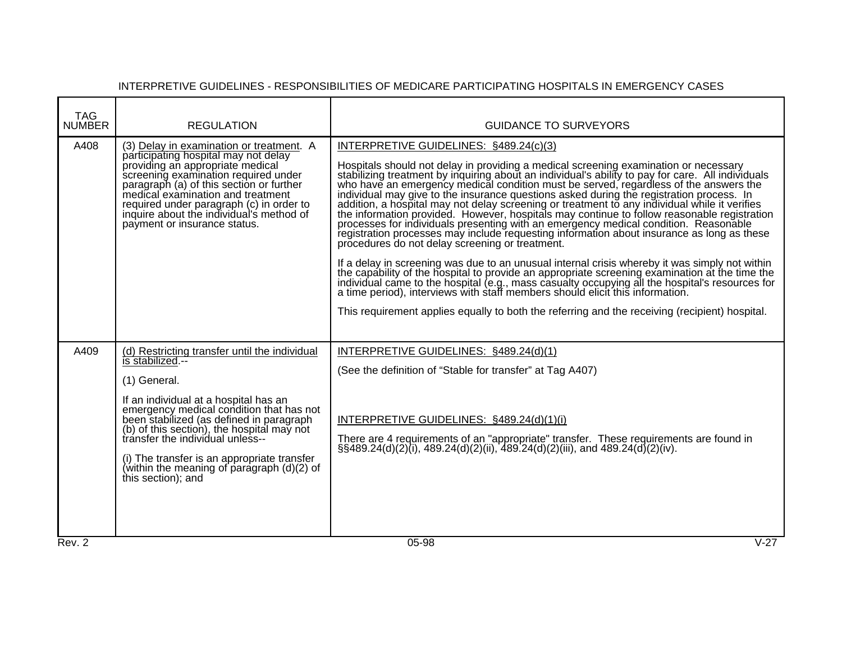| TAG<br><b>NUMBER</b> | <b>REGULATION</b>                                                                                                                                                                                                                                                                                                                                                                                                         | <b>GUIDANCE TO SURVEYORS</b>                                                                                                                                                                                                                                                                                                                                                                                                                                                                                                                                                                                                                                                                                                                                                                                                                                                                                                                                                                                                                                                                                                                                                                                                                                                                                                                       |
|----------------------|---------------------------------------------------------------------------------------------------------------------------------------------------------------------------------------------------------------------------------------------------------------------------------------------------------------------------------------------------------------------------------------------------------------------------|----------------------------------------------------------------------------------------------------------------------------------------------------------------------------------------------------------------------------------------------------------------------------------------------------------------------------------------------------------------------------------------------------------------------------------------------------------------------------------------------------------------------------------------------------------------------------------------------------------------------------------------------------------------------------------------------------------------------------------------------------------------------------------------------------------------------------------------------------------------------------------------------------------------------------------------------------------------------------------------------------------------------------------------------------------------------------------------------------------------------------------------------------------------------------------------------------------------------------------------------------------------------------------------------------------------------------------------------------|
| A408                 | (3) Delay in examination or treatment. A<br>participating hospital may not delay<br>providing an appropriate medical<br>screening examination required under<br>paragraph (a) of this section or further<br>medical examination and treatment<br>required under paragraph (c) in order to<br>inquire about the individual's method of<br>payment or insurance status.                                                     | INTERPRETIVE GUIDELINES: §489.24(c)(3)<br>Hospitals should not delay in providing a medical screening examination or necessary<br>stabilizing treatment by inquiring about an individual's ability to pay for care. All individuals who have an emergency medical condition must be served, regardless of the answers the<br>individual may give to the insurance questions asked during the registration process. In<br>addition, a hospital may not delay screening or treatment to any individual while it verifies the information provided. However, hospitals may continue to follow reasonable registration<br>processes for individuals presenting with an emergency medical condition. Reasonable<br>registration processes may include requesting information about insurance as long as these<br>procedures do not delay screening or treatment.<br>If a delay in screening was due to an unusual internal crisis whereby it was simply not within<br>the capability of the hospital to provide an appropriate screening examination at the time the<br>individual came to the hospital (e.g., mass casualty occupying all the hospital's resources for a time period), interviews with staff members should elicit this information.<br>This requirement applies equally to both the referring and the receiving (recipient) hospital. |
| A409                 | (d) Restricting transfer until the individual<br>is stabilized.--<br>(1) General.<br>If an individual at a hospital has an<br>emergency medical condition that has not<br>been stabilized (as defined in paragraph<br>(b) of this section), the hospital may not<br>transfer the individual unless--<br>(i) The transfer is an appropriate transfer<br>(within the meaning of paragraph $(d)(2)$ of<br>this section); and | INTERPRETIVE GUIDELINES: §489.24(d)(1)<br>(See the definition of "Stable for transfer" at Tag A407)<br>INTERPRETIVE GUIDELINES: §489.24(d)(1)(i)<br>There are 4 requirements of an "appropriate" transfer. These requirements are found in $\S$ \$489.24(d)(2)(i), 489.24(d)(2)(ii), 489.24(d)(2)(iii), and 489.24(d)(2)(iv).                                                                                                                                                                                                                                                                                                                                                                                                                                                                                                                                                                                                                                                                                                                                                                                                                                                                                                                                                                                                                      |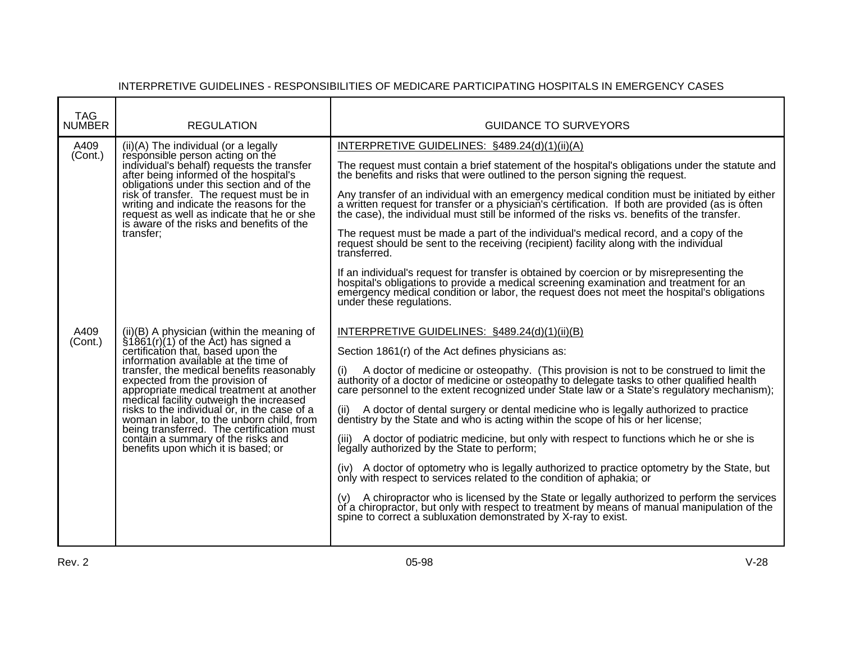| <b>TAG</b><br><b>NUMBER</b> | <b>REGULATION</b>                                                                                                                                                                                                                                                                                                                                                                                                                                                                                                                                                         | <b>GUIDANCE TO SURVEYORS</b>                                                                                                                                                                                                                                                                                                                                                                                                                                                                                                                                                                                                                                                                                                                                                                                                                                                                                                                                                                                                                                                                                                                                                                |
|-----------------------------|---------------------------------------------------------------------------------------------------------------------------------------------------------------------------------------------------------------------------------------------------------------------------------------------------------------------------------------------------------------------------------------------------------------------------------------------------------------------------------------------------------------------------------------------------------------------------|---------------------------------------------------------------------------------------------------------------------------------------------------------------------------------------------------------------------------------------------------------------------------------------------------------------------------------------------------------------------------------------------------------------------------------------------------------------------------------------------------------------------------------------------------------------------------------------------------------------------------------------------------------------------------------------------------------------------------------------------------------------------------------------------------------------------------------------------------------------------------------------------------------------------------------------------------------------------------------------------------------------------------------------------------------------------------------------------------------------------------------------------------------------------------------------------|
| A409<br>(Cont.)             | $(ii)(A)$ The individual (or a legally<br>responsible person acting on the<br>individual's behalf) requests the transfer<br>after being informed of the hospital's<br>obligations under this section and of the<br>risk of transfer. The request must be in<br>writing and indicate the reasons for the<br>request as well as indicate that he or she<br>is aware of the risks and benefits of the<br>transfer:                                                                                                                                                           | INTERPRETIVE GUIDELINES: §489.24(d)(1)(ii)(A)<br>The request must contain a brief statement of the hospital's obligations under the statute and<br>the benefits and risks that were outlined to the person signing the request.<br>Any transfer of an individual with an emergency medical condition must be initiated by either<br>a written request for transfer or a physician's certification. If both are provided (as is often<br>the case), the individual must still be informed of the risks vs. benefits of the transfer.<br>The request must be made a part of the individual's medical record, and a copy of the<br>request should be sent to the receiving (recipient) facility along with the individual<br>transferred.<br>If an individual's request for transfer is obtained by coercion or by misrepresenting the<br>hospital's obligations to provide a medical screening examination and treatment for an<br>emergency medical condition or labor, the request does not meet the hospital's obligations                                                                                                                                                                 |
| A409<br>(Cont.)             | $(ii)(B)$ A physician (within the meaning of<br>$\hat{\S}$ 1861(r)(1) of the Act) has signed a<br>certification that, based upon the<br>information available at the time of<br>transfer, the medical benefits reasonably<br>expected from the provision of<br>appropriate medical treatment at another<br>medical facility outweigh the increased<br>risks to the individual or, in the case of a<br>woman in labor, to the unborn child, from<br>being transferred. The certification must<br>contain a summary of the risks and<br>benefits upon which it is based; or | under these regulations.<br>INTERPRETIVE GUIDELINES: §489.24(d)(1)(ii)(B)<br>Section 1861(r) of the Act defines physicians as:<br>A doctor of medicine or osteopathy. (This provision is not to be construed to limit the<br>authority of a doctor of medicine or osteopathy to delegate tasks to other qualified health care personnel to the extent recognized under State law or a State's regulatory mechanism);<br>(ii) A doctor of dental surgery or dental medicine who is legally authorized to practice dentistry by the State and who is acting within the scope of his or her license;<br>(iii) A doctor of podiatric medicine, but only with respect to functions which he or she is<br>legally authorized by the State to perform;<br>(iv) A doctor of optometry who is legally authorized to practice optometry by the State, but<br>only with respect to services related to the condition of aphakia; or<br>(v) A chiropractor who is licensed by the State or legally authorized to perform the services<br>of a chiropractor, but only with respect to treatment by means of manual manipulation of the<br>spine to correct a subluxation demonstrated by X-ray to exist. |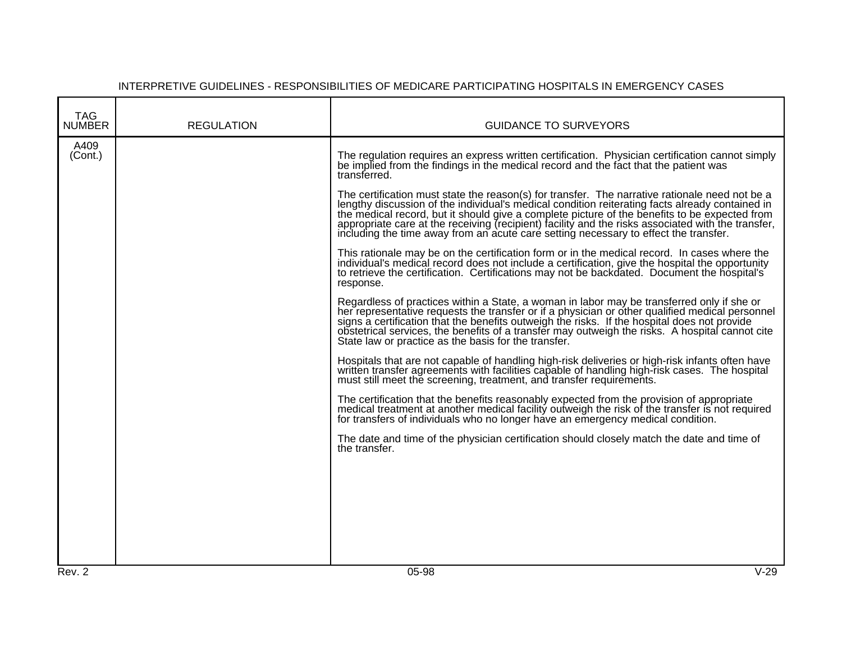| TAG<br><b>NUMBER</b> | <b>REGULATION</b> | <b>GUIDANCE TO SURVEYORS</b>                                                                                                                                                                                                                                                                                                                                                                                                                                                                                                                                                                                                                                                                                                                                                                                                                                                                                                                                                                                                                                                                                                                                                                                                                                                                                                                                                                                                                                                                                                                                                                                                                                                                                                                                                                                                                                                                                                                                                                                                                                                                                                                                      |
|----------------------|-------------------|-------------------------------------------------------------------------------------------------------------------------------------------------------------------------------------------------------------------------------------------------------------------------------------------------------------------------------------------------------------------------------------------------------------------------------------------------------------------------------------------------------------------------------------------------------------------------------------------------------------------------------------------------------------------------------------------------------------------------------------------------------------------------------------------------------------------------------------------------------------------------------------------------------------------------------------------------------------------------------------------------------------------------------------------------------------------------------------------------------------------------------------------------------------------------------------------------------------------------------------------------------------------------------------------------------------------------------------------------------------------------------------------------------------------------------------------------------------------------------------------------------------------------------------------------------------------------------------------------------------------------------------------------------------------------------------------------------------------------------------------------------------------------------------------------------------------------------------------------------------------------------------------------------------------------------------------------------------------------------------------------------------------------------------------------------------------------------------------------------------------------------------------------------------------|
| A409<br>(Cont.)      |                   | The regulation requires an express written certification. Physician certification cannot simply<br>be implied from the findings in the medical record and the fact that the patient was<br>transferred.<br>The certification must state the reason(s) for transfer. The narrative rationale need not be a<br>lengthy discussion of the individual's medical condition reiterating facts already contained in<br>the medical record, but it should give a complete picture of the benefits to be expected from appropriate care at the receiving (recipient) facility and the risks associated with the transfer,<br>including the time away from an acute care setting necessary to effect the transfer.<br>This rationale may be on the certification form or in the medical record. In cases where the<br>individual's medical record does not include a certification, give the hospital the opportunity<br>to retrieve the certification. Certifications may not be backdated. Document the hospital's<br>response.<br>Regardless of practices within a State, a woman in labor may be transferred only if she or<br>her representative requests the transfer or if a physician or other qualified medical personnel<br>signs a certification that the benefits outweigh the risks. If the hospital does not provide<br>obstetrical services, the benefits of a transfer may outweigh the risks. A hospital cannot cite<br>State law or practice as the basis for the transfer.<br>Hospitals that are not capable of handling high-risk deliveries or high-risk infants often have<br>written transfer agreements with facilities capable of handling high-risk cases. The hospital<br>must still meet the screening, treatment, and transfer requirements.<br>The certification that the benefits reasonably expected from the provision of appropriate<br>medical treatment at another medical facility outweigh the risk of the transfer is not required<br>for transfers of individuals who no longer have an emergency medical condition.<br>The date and time of the physician certification should closely match the date and time of<br>the transfer. |
| Rev. 2               |                   | $V-29$<br>$05-98$                                                                                                                                                                                                                                                                                                                                                                                                                                                                                                                                                                                                                                                                                                                                                                                                                                                                                                                                                                                                                                                                                                                                                                                                                                                                                                                                                                                                                                                                                                                                                                                                                                                                                                                                                                                                                                                                                                                                                                                                                                                                                                                                                 |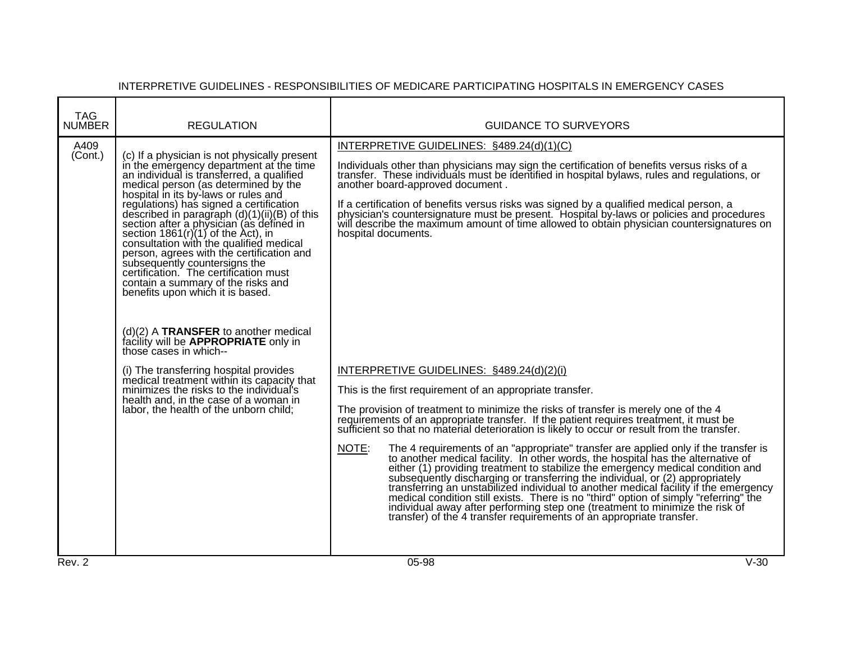| <b>TAG</b><br><b>NUMBER</b> | <b>REGULATION</b>                                                                                                                                                                                                                                                                                                                                                                                                                                                                                                                                                                                                                                                                                                                                                                                                                                                                                                                                                                          | <b>GUIDANCE TO SURVEYORS</b>                                                                                                                                                                                                                                                                                                                                                                                                                                                                                                                                                                                                                                                                                                                                                                                                                                                                                                                                                                                                                                                                                                                                                                                                                                                                                                               |        |
|-----------------------------|--------------------------------------------------------------------------------------------------------------------------------------------------------------------------------------------------------------------------------------------------------------------------------------------------------------------------------------------------------------------------------------------------------------------------------------------------------------------------------------------------------------------------------------------------------------------------------------------------------------------------------------------------------------------------------------------------------------------------------------------------------------------------------------------------------------------------------------------------------------------------------------------------------------------------------------------------------------------------------------------|--------------------------------------------------------------------------------------------------------------------------------------------------------------------------------------------------------------------------------------------------------------------------------------------------------------------------------------------------------------------------------------------------------------------------------------------------------------------------------------------------------------------------------------------------------------------------------------------------------------------------------------------------------------------------------------------------------------------------------------------------------------------------------------------------------------------------------------------------------------------------------------------------------------------------------------------------------------------------------------------------------------------------------------------------------------------------------------------------------------------------------------------------------------------------------------------------------------------------------------------------------------------------------------------------------------------------------------------|--------|
| A409<br>(Cont.)             | (c) If a physician is not physically present<br>in the emergency department at the time<br>an individual is transferred, a qualified<br>medical person (as determined by the<br>hospital in its by-laws or rules and<br>regulations) has signed a certification<br>described in paragraph $(d)(1)(ii)(B)$ of this<br>section after a physician (as defined in<br>section $1861(r)(1)$ of the Act), in<br>consultation with the qualified medical<br>person, agrees with the certification and<br>subsequently countersigns the<br>certification. The certification must<br>contain a summary of the risks and<br>benefits upon which it is based.<br>$(d)(2)$ A TRANSFER to another medical<br>facility will be <b>APPROPRIATE</b> only in<br>those cases in which--<br>(i) The transferring hospital provides<br>medical treatment within its capacity that<br>minimizes the risks to the individual's<br>health and, in the case of a woman in<br>labor, the health of the unborn child; | INTERPRETIVE GUIDELINES: §489.24(d)(1)(C)<br>Individuals other than physicians may sign the certification of benefits versus risks of a<br>transfer. These individuals must be identified in hospital bylaws, rules and regulations, or<br>another board-approved document.<br>If a certification of benefits versus risks was signed by a qualified medical person, a<br>physician's countersignature must be present. Hospital by-laws or policies and procedures<br>will describe the maximum amount of time allowed to obtain physician countersignatures on<br>hospital documents.<br>INTERPRETIVE GUIDELINES: §489.24(d)(2)(i)<br>This is the first requirement of an appropriate transfer.<br>The provision of treatment to minimize the risks of transfer is merely one of the 4<br>requirements of an appropriate transfer. If the patient requires treatment, it must be<br>sufficient so that no material deterioration is likely to occur or result from the transfer.<br>NOTE:<br>The 4 requirements of an "appropriate" transfer are applied only if the transfer is<br>to another medical facility. In other words, the hospital has the alternative of<br>either (1) providing treatment to stabilize the emergency medical condition and<br>subsequently discharging or transferring the individual, or (2) appropriately |        |
|                             |                                                                                                                                                                                                                                                                                                                                                                                                                                                                                                                                                                                                                                                                                                                                                                                                                                                                                                                                                                                            | transferring an unstabilized individual to another medical facility if the emergency<br>medical condition still exists. There is no "third" option of simply "referring" the<br>individual away after performing step one (treatment to minimize the risk of<br>transfer) of the 4 transfer requirements of an appropriate transfer.                                                                                                                                                                                                                                                                                                                                                                                                                                                                                                                                                                                                                                                                                                                                                                                                                                                                                                                                                                                                       |        |
| Rev. 2                      |                                                                                                                                                                                                                                                                                                                                                                                                                                                                                                                                                                                                                                                                                                                                                                                                                                                                                                                                                                                            | 05-98                                                                                                                                                                                                                                                                                                                                                                                                                                                                                                                                                                                                                                                                                                                                                                                                                                                                                                                                                                                                                                                                                                                                                                                                                                                                                                                                      | $V-30$ |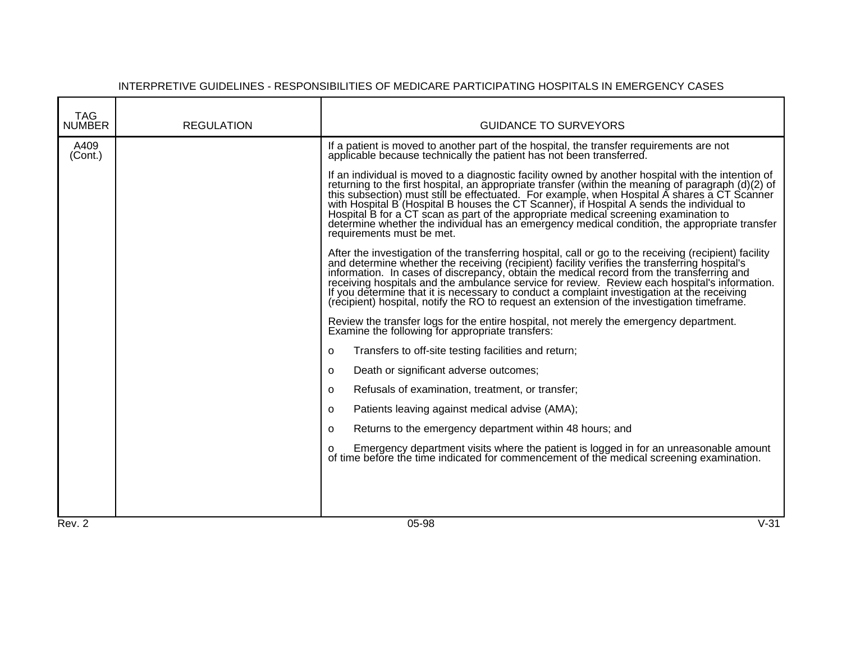| <b>TAG</b><br><b>NUMBER</b> | <b>REGULATION</b> | <b>GUIDANCE TO SURVEYORS</b>                                                                                                                                                                                                                                                                                                                                                                                                                                                                                                                         |
|-----------------------------|-------------------|------------------------------------------------------------------------------------------------------------------------------------------------------------------------------------------------------------------------------------------------------------------------------------------------------------------------------------------------------------------------------------------------------------------------------------------------------------------------------------------------------------------------------------------------------|
|                             |                   |                                                                                                                                                                                                                                                                                                                                                                                                                                                                                                                                                      |
| A409<br>(Cont.)             |                   | If a patient is moved to another part of the hospital, the transfer requirements are not applicable because technically the patient has not been transferred.                                                                                                                                                                                                                                                                                                                                                                                        |
|                             |                   | If an individual is moved to a diagnostic facility owned by another hospital with the intention of<br>returning to the first hospital, an appropriate transfer (within the meaning of paragraph (d)(2) of<br>this subsection) must s<br>with Hospital B (Hospital B houses the CT Scanner), if Hospital A sends the individual to<br>Hospital B for a CT scan as part of the appropriate medical screening examination to determine whether the individual has an emergency medical condition, the appropriate transfer<br>requirements must be met. |
|                             |                   | After the investigation of the transferring hospital, call or go to the receiving (recipient) facility<br>and determine whether the receiving (recipient) facility verifies the transferring hospital's<br>information. In cases of                                                                                                                                                                                                                                                                                                                  |
|                             |                   | Review the transfer logs for the entire hospital, not merely the emergency department.<br>Examine the following for appropriate transfers:                                                                                                                                                                                                                                                                                                                                                                                                           |
|                             |                   | Transfers to off-site testing facilities and return;<br>o                                                                                                                                                                                                                                                                                                                                                                                                                                                                                            |
|                             |                   | Death or significant adverse outcomes;<br>o                                                                                                                                                                                                                                                                                                                                                                                                                                                                                                          |
|                             |                   | Refusals of examination, treatment, or transfer;<br>o                                                                                                                                                                                                                                                                                                                                                                                                                                                                                                |
|                             |                   | Patients leaving against medical advise (AMA);<br>$\circ$                                                                                                                                                                                                                                                                                                                                                                                                                                                                                            |
|                             |                   | Returns to the emergency department within 48 hours; and<br>$\Omega$                                                                                                                                                                                                                                                                                                                                                                                                                                                                                 |
|                             |                   | o Emergency department visits where the patient is logged in for an unreasonable amount of time before the time indicated for commencement of the medical screening examination.                                                                                                                                                                                                                                                                                                                                                                     |
|                             |                   |                                                                                                                                                                                                                                                                                                                                                                                                                                                                                                                                                      |
| Rev. 2                      |                   | $V-31$<br>05-98                                                                                                                                                                                                                                                                                                                                                                                                                                                                                                                                      |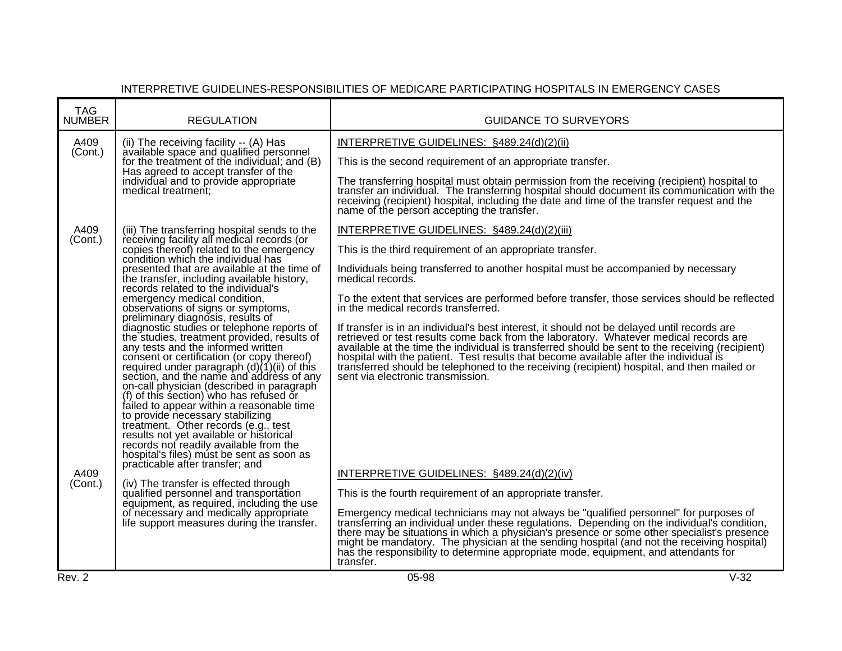| <b>TAG</b><br><b>NUMBER</b> | <b>REGULATION</b>                                                                                                                                                                                                                                                                                                                                                                                                                                                                                                                                                                                                                                                                                    | <b>GUIDANCE TO SURVEYORS</b>                                                                                                                                                                                                                                                                                                                                                                                                                                                                                        |        |
|-----------------------------|------------------------------------------------------------------------------------------------------------------------------------------------------------------------------------------------------------------------------------------------------------------------------------------------------------------------------------------------------------------------------------------------------------------------------------------------------------------------------------------------------------------------------------------------------------------------------------------------------------------------------------------------------------------------------------------------------|---------------------------------------------------------------------------------------------------------------------------------------------------------------------------------------------------------------------------------------------------------------------------------------------------------------------------------------------------------------------------------------------------------------------------------------------------------------------------------------------------------------------|--------|
| A409                        | (ii) The receiving facility -- (A) Has<br>available space and qualified personnel                                                                                                                                                                                                                                                                                                                                                                                                                                                                                                                                                                                                                    | INTERPRETIVE GUIDELINES: §489.24(d)(2)(ii)                                                                                                                                                                                                                                                                                                                                                                                                                                                                          |        |
| (Cont.)                     | for the treatment of the individual; and (B)                                                                                                                                                                                                                                                                                                                                                                                                                                                                                                                                                                                                                                                         | This is the second requirement of an appropriate transfer.                                                                                                                                                                                                                                                                                                                                                                                                                                                          |        |
|                             | Has agreed to accept transfer of the<br>individual and to provide appropriate<br>medical treatment:                                                                                                                                                                                                                                                                                                                                                                                                                                                                                                                                                                                                  | The transferring hospital must obtain permission from the receiving (recipient) hospital to<br>transfer an individual. The transferring hospital should document its communication with the<br>receiving (recipient) hospital, including the date and time of the transfer request and the<br>name of the person accepting the transfer.                                                                                                                                                                            |        |
| A409                        | (iii) The transferring hospital sends to the                                                                                                                                                                                                                                                                                                                                                                                                                                                                                                                                                                                                                                                         | INTERPRETIVE GUIDELINES: §489.24(d)(2)(iii)                                                                                                                                                                                                                                                                                                                                                                                                                                                                         |        |
| (Cont.)                     | receiving facility all medical records (or<br>copies thereof) related to the emergency<br>condition which the individual has                                                                                                                                                                                                                                                                                                                                                                                                                                                                                                                                                                         | This is the third requirement of an appropriate transfer.                                                                                                                                                                                                                                                                                                                                                                                                                                                           |        |
|                             | presented that are available at the time of<br>the transfer, including available history,<br>records related to the individual's                                                                                                                                                                                                                                                                                                                                                                                                                                                                                                                                                                     | Individuals being transferred to another hospital must be accompanied by necessary<br>medical records.                                                                                                                                                                                                                                                                                                                                                                                                              |        |
|                             | emergency medical condition,<br>observations of signs or symptoms,                                                                                                                                                                                                                                                                                                                                                                                                                                                                                                                                                                                                                                   | To the extent that services are performed before transfer, those services should be reflected<br>in the medical records transferred.                                                                                                                                                                                                                                                                                                                                                                                |        |
|                             | preliminary diagnosis, results of<br>diagnostic studies or telephone reports of<br>the studies, treatment provided, results of<br>any tests and the informed written<br>consent or certification (or copy thereof)<br>required under paragraph (d)(1)(ii) of this<br>section, and the name and address of any<br>on-call physician (described in paragraph)<br>(f) of this section) who has refused or<br>failed to appear within a reasonable time<br>to provide necessary stabilizing<br>treatment. Other records (e.g., test<br>results not yet available or historical<br>records not readily available from the<br>hospital's files) must be sent as soon as<br>practicable after transfer; and | If transfer is in an individual's best interest, it should not be delayed until records are<br>retrieved or test results come back from the laboratory. Whatever medical records are<br>available at the time the individual is transferred should be sent to the receiving (recipient)<br>hospital with the patient. Test results that become available after the individual is<br>transferred should be telephoned to the receiving (recipient) hospital, and then mailed or<br>sent via electronic transmission. |        |
| A409<br>(Cont.)             | (iv) The transfer is effected through                                                                                                                                                                                                                                                                                                                                                                                                                                                                                                                                                                                                                                                                | INTERPRETIVE GUIDELINES: §489.24(d)(2)(iv)                                                                                                                                                                                                                                                                                                                                                                                                                                                                          |        |
|                             | qualified personnel and transportation<br>equipment, as required, including the use                                                                                                                                                                                                                                                                                                                                                                                                                                                                                                                                                                                                                  | This is the fourth requirement of an appropriate transfer.                                                                                                                                                                                                                                                                                                                                                                                                                                                          |        |
|                             | of necessary and medically appropriate<br>life support measures during the transfer.                                                                                                                                                                                                                                                                                                                                                                                                                                                                                                                                                                                                                 | Emergency medical technicians may not always be "qualified personnel" for purposes of<br>transferring an individual under these regulations. Depending on the individual's condition,<br>there may be situations in which a physician's presence or some other specialist's presence<br>might be mandatory. The physician at the sending hospital (and not the receiving hospital)<br>has the responsibility to determine appropriate mode, equipment, and attendants for<br>transfer.                              |        |
| Rev. 2                      |                                                                                                                                                                                                                                                                                                                                                                                                                                                                                                                                                                                                                                                                                                      | 05-98                                                                                                                                                                                                                                                                                                                                                                                                                                                                                                               | $V-32$ |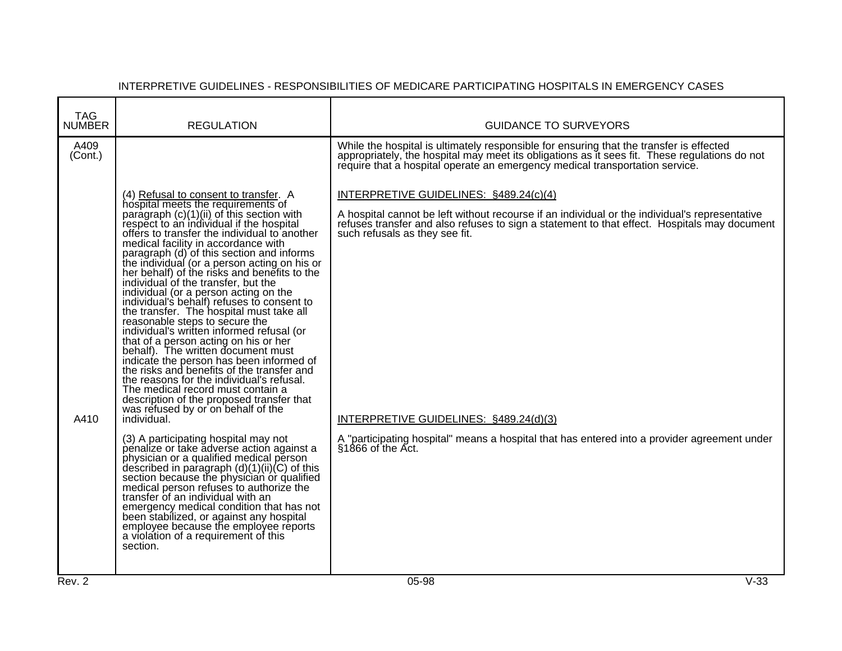| <b>TAG</b><br><b>NUMBER</b> | <b>REGULATION</b>                                                                                                                                                                                                                                                                                                                                                                                                                                                                                                                                                                                                                                                                                                                                                                                                                                                                                                                                                                                                              | <b>GUIDANCE TO SURVEYORS</b>                                                                                                                                                                                                                                                                                         |
|-----------------------------|--------------------------------------------------------------------------------------------------------------------------------------------------------------------------------------------------------------------------------------------------------------------------------------------------------------------------------------------------------------------------------------------------------------------------------------------------------------------------------------------------------------------------------------------------------------------------------------------------------------------------------------------------------------------------------------------------------------------------------------------------------------------------------------------------------------------------------------------------------------------------------------------------------------------------------------------------------------------------------------------------------------------------------|----------------------------------------------------------------------------------------------------------------------------------------------------------------------------------------------------------------------------------------------------------------------------------------------------------------------|
| A409<br>(Cont.)             |                                                                                                                                                                                                                                                                                                                                                                                                                                                                                                                                                                                                                                                                                                                                                                                                                                                                                                                                                                                                                                | While the hospital is ultimately responsible for ensuring that the transfer is effected<br>appropriately, the hospital may meet its obligations as it sees fit. These regulations do not<br>require that a hospital operate an emergency medical transportation service.                                             |
| A410                        | (4) Refusal to consent to transfer. A<br>hospital meets the requirements of<br>paragraph (c)(1)(ii) of this section with<br>respect to an individual if the hospital<br>offers to transfer the individual to another<br>medical facility in accordance with<br>paragraph (d) of this section and informs<br>the individual (or a person acting on his or<br>her behalf) of the risks and benefits to the<br>individual of the transfer, but the<br>individual (or a person acting on the<br>individual's behalf) refuses to consent to<br>the transfer. The hospital must take all<br>reasonable steps to secure the<br>individual's written informed refusal (or<br>that of a person acting on his or her<br>behalf). The written document must<br>indicate the person has been informed of<br>the risks and benefits of the transfer and<br>the reasons for the individual's refusal.<br>The medical record must contain a<br>description of the proposed transfer that<br>was refused by or on behalf of the<br>individual. | INTERPRETIVE GUIDELINES: §489.24(c)(4)<br>A hospital cannot be left without recourse if an individual or the individual's representative<br>refuses transfer and also refuses to sign a statement to that effect. Hospitals may document<br>such refusals as they see fit.<br>INTERPRETIVE GUIDELINES: §489.24(d)(3) |
|                             | (3) A participating hospital may not<br>penalize or take adverse action against a<br>physician or a qualified medical person<br>described in paragraph $(d)(1)(ii)(C)$ of this<br>section because the physician or qualified<br>medical person refuses to authorize the<br>transfer of an individual with an<br>emergency medical condition that has not<br>been stabilized, or against any hospital<br>employee because the employee reports<br>a violation of a requirement of this<br>section.                                                                                                                                                                                                                                                                                                                                                                                                                                                                                                                              | A "participating hospital" means a hospital that has entered into a provider agreement under<br>$$1866$ of the Act.                                                                                                                                                                                                  |
| Rev. 2                      |                                                                                                                                                                                                                                                                                                                                                                                                                                                                                                                                                                                                                                                                                                                                                                                                                                                                                                                                                                                                                                | $V-33$<br>$05-98$                                                                                                                                                                                                                                                                                                    |